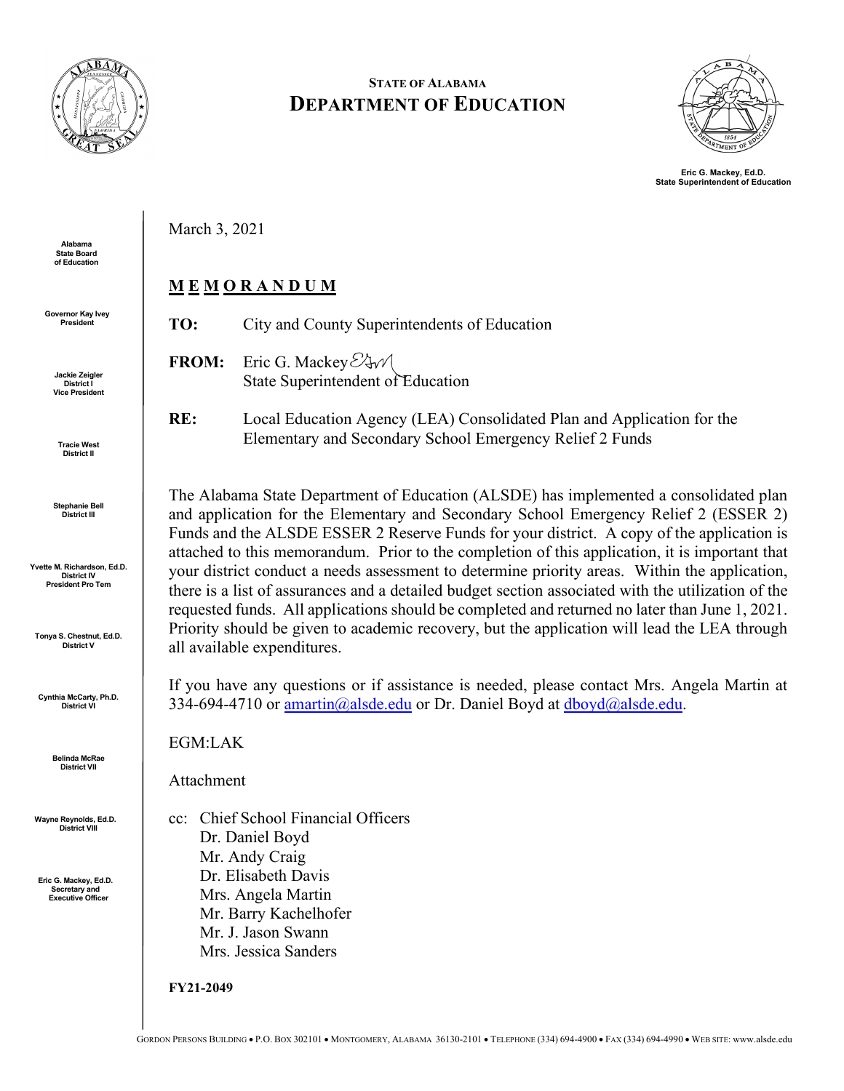

**STATE OF ALABAMA DEPARTMENT OF EDUCATION**



**Eric G. Mackey, Ed.D. State Superintendent of Education**

March 3, 2021

### **M E M O R A N D U M**

**TO:** City and County Superintendents of Education

- **FROM:** Eric G. Mackey  $\mathcal{C}$  w State Superintendent of Education
- **RE:** Local Education Agency (LEA) Consolidated Plan and Application for the Elementary and Secondary School Emergency Relief 2 Funds

The Alabama State Department of Education (ALSDE) has implemented a consolidated plan and application for the Elementary and Secondary School Emergency Relief 2 (ESSER 2) Funds and the ALSDE ESSER 2 Reserve Funds for your district. A copy of the application is attached to this memorandum. Prior to the completion of this application, it is important that your district conduct a needs assessment to determine priority areas. Within the application, there is a list of assurances and a detailed budget section associated with the utilization of the requested funds. All applications should be completed and returned no later than June 1, 2021. Priority should be given to academic recovery, but the application will lead the LEA through all available expenditures.

If you have any questions or if assistance is needed, please contact Mrs. Angela Martin at 334-694-4710 or  $\frac{amartin(@alsde.edu)}{abular}$  or Dr. Daniel Boyd at  $\frac{dboyd(@alsde.edu)}{abadded(@alsde.edu)}$ .

EGM:LAK

Attachment

cc: Chief School Financial Officers Dr. Daniel Boyd Mr. Andy Craig Dr. Elisabeth Davis Mrs. Angela Martin Mr. Barry Kachelhofer Mr. J. Jason Swann Mrs. Jessica Sanders

**FY21-2049**

**Jackie Zeigler District I Vice President**

**Tracie West District II**

**Alabama State Board** of Education

**Governor Kay Ivey President** 

> **Stephanie Bell District III**

**Yvette M. Richardson, Ed.D. District IV President Pro Tem**

**Tonya S. Chestnut, Ed.D. District V**

**Cynthia McCarty, Ph.D. District VI**

> **Belinda McRae District VII**

**Wayne Reynolds, Ed.D. District VIII**

**Eric G. Mackey, Ed.D. Secretary and Executive Officer**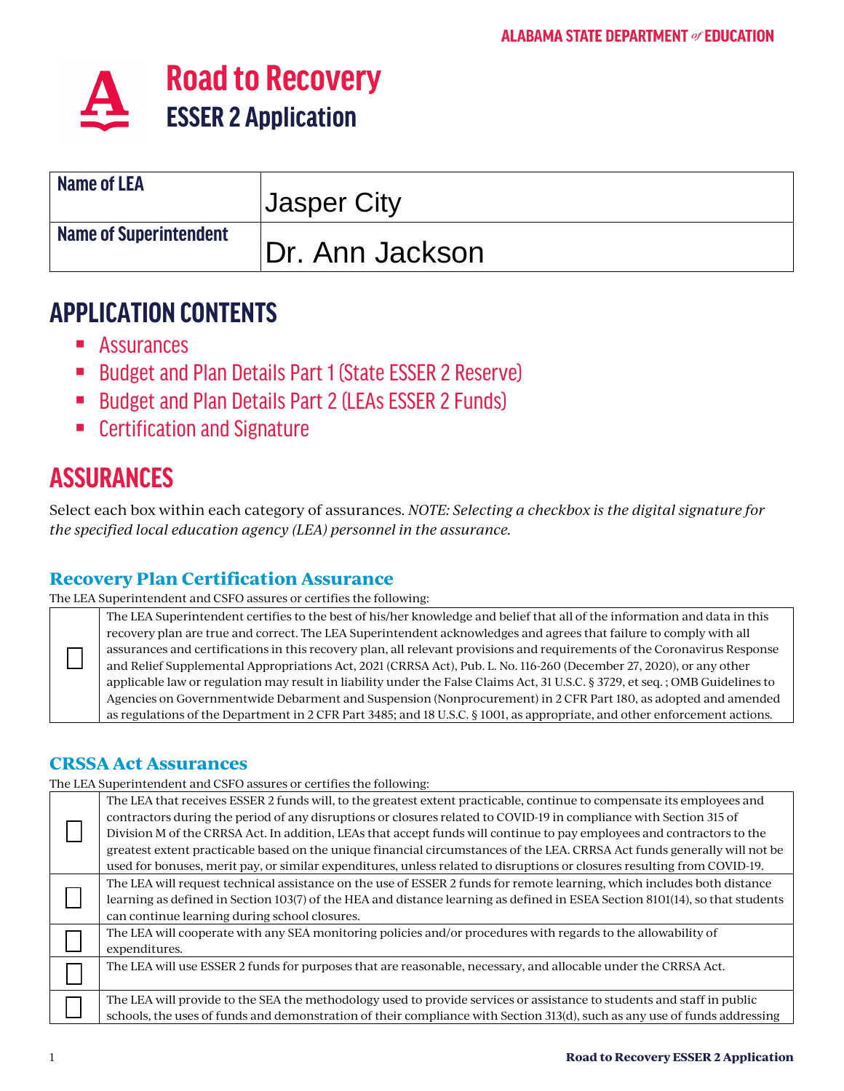

| <b>Name of LEA</b>     | <b>Jasper City</b> |
|------------------------|--------------------|
| Name of Superintendent | Dr. Ann Jackson    |

# **APPLICATION CONTENTS**

- Assurances
- Budget and Plan Details Part 1 (State ESSER 2 Reserve)
- **Budget and Plan Details Part 2 (LEAs ESSER 2 Funds)**
- **EXEC** Certification and Signature

# **ASSURANCES**

Select each box within each category of assurances. *NOTE: Selecting a checkbox is the digital signature for the specified local education agency (LEA) personnel in the assurance.* 

### **Recovery Plan Certification Assurance**

The LEA Superintendent and CSFO assures or certifies the following:

The LEA Superintendent certifies to the best of his/her knowledge and belief that all of the information and data in this recovery plan are true and correct. The LEA Superintendent acknowledges and agrees that failure to comply with all assurances and certifications in this recovery plan, all relevant provisions and requirements of the Coronavirus Response and Relief Supplemental Appropriations Act, 2021 (CRRSA Act), Pub. L. No. 116-260 (December 27, 2020), or any other applicable law or regulation may result in liability under the False Claims Act, 31 U.S.C. § 3729, et seq. ; OMB Guidelines to Agencies on Governmentwide Debarment and Suspension (Nonprocurement) in 2 CFR Part 180, as adopted and amended as regulations of the Department in 2 CFR Part 3485; and 18 U.S.C. § 1001, as appropriate, and other enforcement actions.

#### **CRSSA Act Assurances**

The LEA Superintendent and CSFO assures or certifies the following:

|  | <u>the matricellation and core about to or certified the following</u>                                                       |
|--|------------------------------------------------------------------------------------------------------------------------------|
|  | The LEA that receives ESSER 2 funds will, to the greatest extent practicable, continue to compensate its employees and       |
|  | contractors during the period of any disruptions or closures related to COVID-19 in compliance with Section 315 of           |
|  | Division M of the CRRSA Act. In addition, LEAs that accept funds will continue to pay employees and contractors to the       |
|  | greatest extent practicable based on the unique financial circumstances of the LEA. CRRSA Act funds generally will not be    |
|  | used for bonuses, merit pay, or similar expenditures, unless related to disruptions or closures resulting from COVID-19.     |
|  | The LEA will request technical assistance on the use of ESSER 2 funds for remote learning, which includes both distance      |
|  | learning as defined in Section 103(7) of the HEA and distance learning as defined in ESEA Section 8101(14), so that students |
|  | can continue learning during school closures.                                                                                |
|  | The LEA will cooperate with any SEA monitoring policies and/or procedures with regards to the allowability of                |
|  | expenditures.                                                                                                                |
|  | The LEA will use ESSER 2 funds for purposes that are reasonable, necessary, and allocable under the CRRSA Act.               |
|  |                                                                                                                              |
|  | The LEA will provide to the SEA the methodology used to provide services or assistance to students and staff in public       |
|  | schools, the uses of funds and demonstration of their compliance with Section 313(d), such as any use of funds addressing    |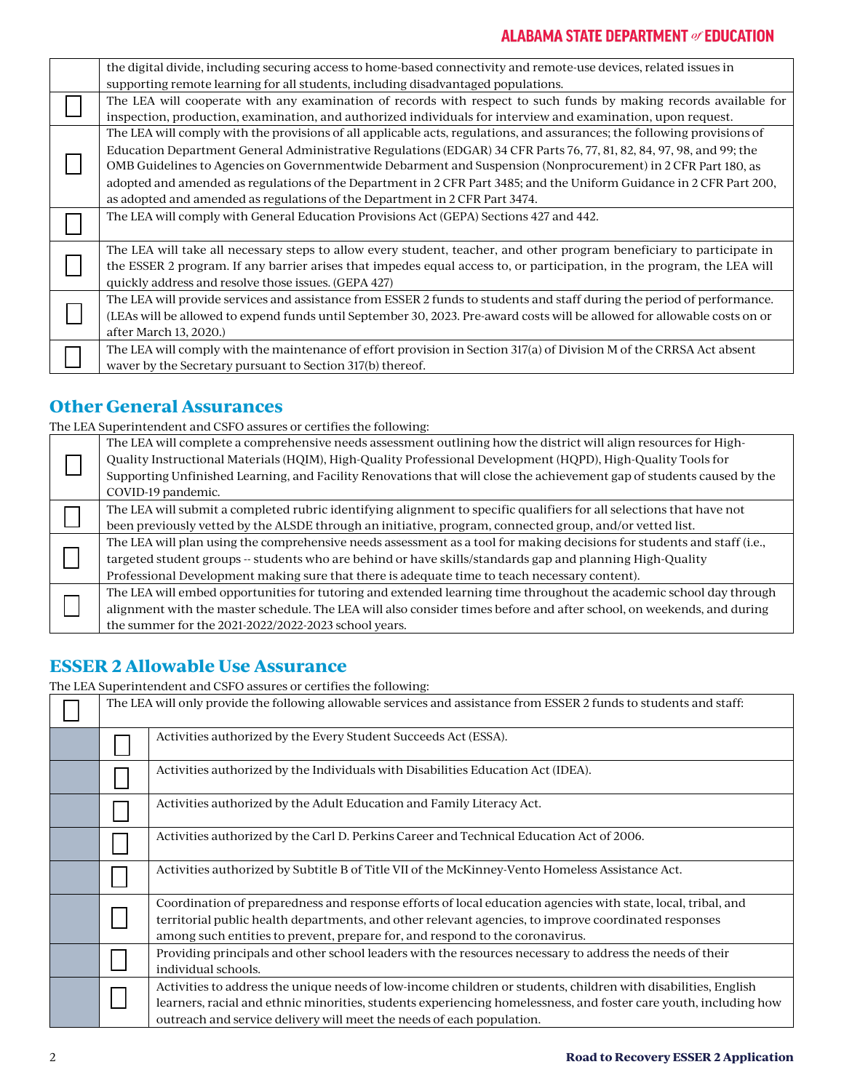#### **ALABAMA STATE DEPARTMENT of EDUCATION**

| the digital divide, including securing access to home-based connectivity and remote-use devices, related issues in        |
|---------------------------------------------------------------------------------------------------------------------------|
| supporting remote learning for all students, including disadvantaged populations.                                         |
| The LEA will cooperate with any examination of records with respect to such funds by making records available for         |
| inspection, production, examination, and authorized individuals for interview and examination, upon request.              |
| The LEA will comply with the provisions of all applicable acts, regulations, and assurances; the following provisions of  |
| Education Department General Administrative Regulations (EDGAR) 34 CFR Parts 76, 77, 81, 82, 84, 97, 98, and 99; the      |
| OMB Guidelines to Agencies on Governmentwide Debarment and Suspension (Nonprocurement) in 2 CFR Part 180, as              |
| adopted and amended as regulations of the Department in 2 CFR Part 3485; and the Uniform Guidance in 2 CFR Part 200,      |
| as adopted and amended as regulations of the Department in 2 CFR Part 3474.                                               |
| The LEA will comply with General Education Provisions Act (GEPA) Sections 427 and 442.                                    |
|                                                                                                                           |
| The LEA will take all necessary steps to allow every student, teacher, and other program beneficiary to participate in    |
| the ESSER 2 program. If any barrier arises that impedes equal access to, or participation, in the program, the LEA will   |
| quickly address and resolve those issues. (GEPA 427)                                                                      |
| The LEA will provide services and assistance from ESSER 2 funds to students and staff during the period of performance.   |
| (LEAs will be allowed to expend funds until September 30, 2023. Pre-award costs will be allowed for allowable costs on or |
| after March 13, 2020.)                                                                                                    |
| The LEA will comply with the maintenance of effort provision in Section 317(a) of Division M of the CRRSA Act absent      |
| waver by the Secretary pursuant to Section 317(b) thereof.                                                                |

#### **Other General Assurances**

The LEA Superintendent and CSFO assures or certifies the following:

|  | The LEA will complete a comprehensive needs assessment outlining how the district will align resources for High-<br>Quality Instructional Materials (HQIM), High-Quality Professional Development (HQPD), High-Quality Tools for                                                                                                      |
|--|---------------------------------------------------------------------------------------------------------------------------------------------------------------------------------------------------------------------------------------------------------------------------------------------------------------------------------------|
|  | Supporting Unfinished Learning, and Facility Renovations that will close the achievement gap of students caused by the<br>COVID-19 pandemic.                                                                                                                                                                                          |
|  | The LEA will submit a completed rubric identifying alignment to specific qualifiers for all selections that have not<br>been previously vetted by the ALSDE through an initiative, program, connected group, and/or vetted list.                                                                                                      |
|  | The LEA will plan using the comprehensive needs assessment as a tool for making decisions for students and staff (i.e.,<br>targeted student groups -- students who are behind or have skills/standards gap and planning High-Quality<br>Professional Development making sure that there is adequate time to teach necessary content). |
|  | The LEA will embed opportunities for tutoring and extended learning time throughout the academic school day through<br>alignment with the master schedule. The LEA will also consider times before and after school, on weekends, and during<br>the summer for the 2021-2022/2022-2023 school years.                                  |

#### **ESSER 2 Allowable Use Assurance**

The LEA Superintendent and CSFO assures or certifies the following:

| The LEA will only provide the following allowable services and assistance from ESSER 2 funds to students and staff: |                                                                                                                                                                                                                                                                                                             |  |  |  |
|---------------------------------------------------------------------------------------------------------------------|-------------------------------------------------------------------------------------------------------------------------------------------------------------------------------------------------------------------------------------------------------------------------------------------------------------|--|--|--|
|                                                                                                                     | Activities authorized by the Every Student Succeeds Act (ESSA).                                                                                                                                                                                                                                             |  |  |  |
|                                                                                                                     | Activities authorized by the Individuals with Disabilities Education Act (IDEA).                                                                                                                                                                                                                            |  |  |  |
|                                                                                                                     | Activities authorized by the Adult Education and Family Literacy Act.                                                                                                                                                                                                                                       |  |  |  |
|                                                                                                                     | Activities authorized by the Carl D. Perkins Career and Technical Education Act of 2006.                                                                                                                                                                                                                    |  |  |  |
|                                                                                                                     | Activities authorized by Subtitle B of Title VII of the McKinney-Vento Homeless Assistance Act.                                                                                                                                                                                                             |  |  |  |
|                                                                                                                     | Coordination of preparedness and response efforts of local education agencies with state, local, tribal, and<br>territorial public health departments, and other relevant agencies, to improve coordinated responses<br>among such entities to prevent, prepare for, and respond to the coronavirus.        |  |  |  |
|                                                                                                                     | Providing principals and other school leaders with the resources necessary to address the needs of their<br>individual schools.                                                                                                                                                                             |  |  |  |
|                                                                                                                     | Activities to address the unique needs of low-income children or students, children with disabilities, English<br>learners, racial and ethnic minorities, students experiencing homelessness, and foster care youth, including how<br>outreach and service delivery will meet the needs of each population. |  |  |  |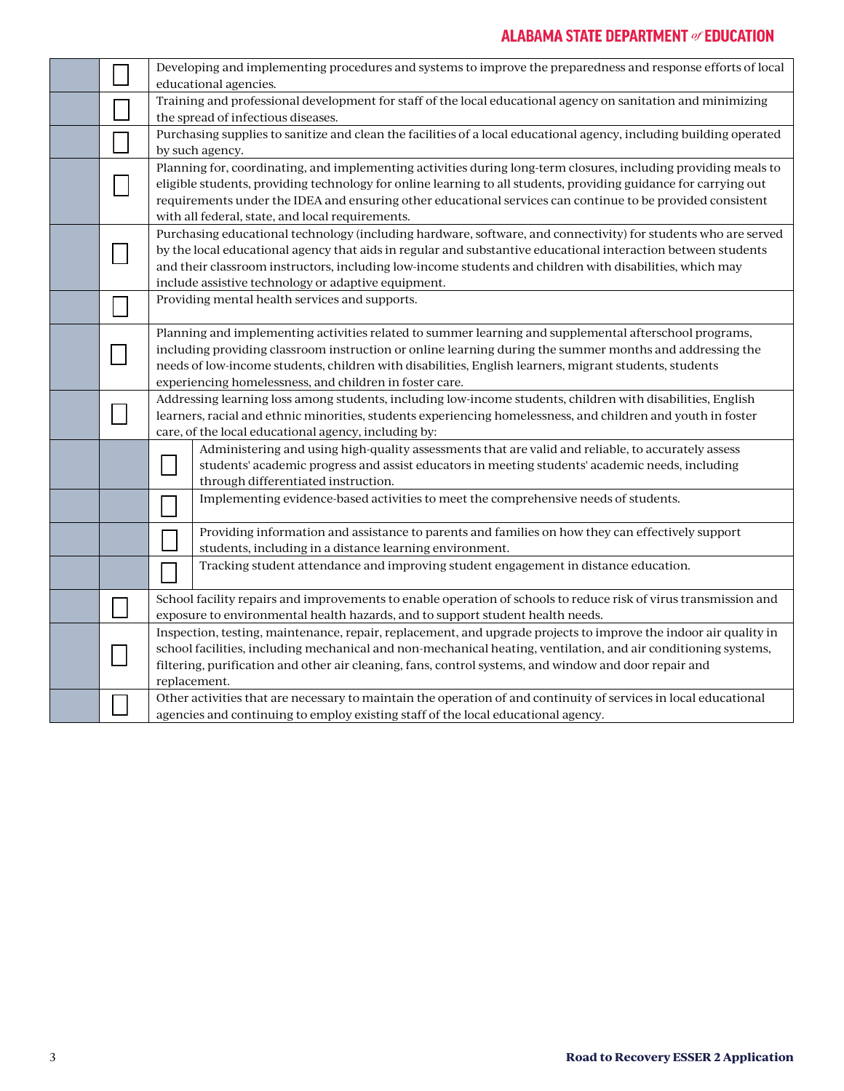### **ALABAMA STATE DEPARTMENT of EDUCATION**

|  | Developing and implementing procedures and systems to improve the preparedness and response efforts of local<br>educational agencies.                                                                                                                                                                                                                                                                 |  |  |  |  |
|--|-------------------------------------------------------------------------------------------------------------------------------------------------------------------------------------------------------------------------------------------------------------------------------------------------------------------------------------------------------------------------------------------------------|--|--|--|--|
|  | Training and professional development for staff of the local educational agency on sanitation and minimizing<br>the spread of infectious diseases.                                                                                                                                                                                                                                                    |  |  |  |  |
|  | Purchasing supplies to sanitize and clean the facilities of a local educational agency, including building operated<br>by such agency.                                                                                                                                                                                                                                                                |  |  |  |  |
|  | Planning for, coordinating, and implementing activities during long-term closures, including providing meals to<br>eligible students, providing technology for online learning to all students, providing guidance for carrying out<br>requirements under the IDEA and ensuring other educational services can continue to be provided consistent<br>with all federal, state, and local requirements. |  |  |  |  |
|  | Purchasing educational technology (including hardware, software, and connectivity) for students who are served<br>by the local educational agency that aids in regular and substantive educational interaction between students<br>and their classroom instructors, including low-income students and children with disabilities, which may<br>include assistive technology or adaptive equipment.    |  |  |  |  |
|  | Providing mental health services and supports.                                                                                                                                                                                                                                                                                                                                                        |  |  |  |  |
|  | Planning and implementing activities related to summer learning and supplemental afterschool programs,<br>including providing classroom instruction or online learning during the summer months and addressing the<br>needs of low-income students, children with disabilities, English learners, migrant students, students<br>experiencing homelessness, and children in foster care.               |  |  |  |  |
|  | Addressing learning loss among students, including low-income students, children with disabilities, English<br>learners, racial and ethnic minorities, students experiencing homelessness, and children and youth in foster<br>care, of the local educational agency, including by:                                                                                                                   |  |  |  |  |
|  | Administering and using high-quality assessments that are valid and reliable, to accurately assess<br>students' academic progress and assist educators in meeting students' academic needs, including<br>through differentiated instruction.                                                                                                                                                          |  |  |  |  |
|  | Implementing evidence-based activities to meet the comprehensive needs of students.                                                                                                                                                                                                                                                                                                                   |  |  |  |  |
|  | Providing information and assistance to parents and families on how they can effectively support<br>students, including in a distance learning environment.                                                                                                                                                                                                                                           |  |  |  |  |
|  | Tracking student attendance and improving student engagement in distance education.                                                                                                                                                                                                                                                                                                                   |  |  |  |  |
|  | School facility repairs and improvements to enable operation of schools to reduce risk of virus transmission and<br>exposure to environmental health hazards, and to support student health needs.                                                                                                                                                                                                    |  |  |  |  |
|  | Inspection, testing, maintenance, repair, replacement, and upgrade projects to improve the indoor air quality in<br>school facilities, including mechanical and non-mechanical heating, ventilation, and air conditioning systems,<br>filtering, purification and other air cleaning, fans, control systems, and window and door repair and<br>replacement.                                           |  |  |  |  |
|  | Other activities that are necessary to maintain the operation of and continuity of services in local educational<br>agencies and continuing to employ existing staff of the local educational agency.                                                                                                                                                                                                 |  |  |  |  |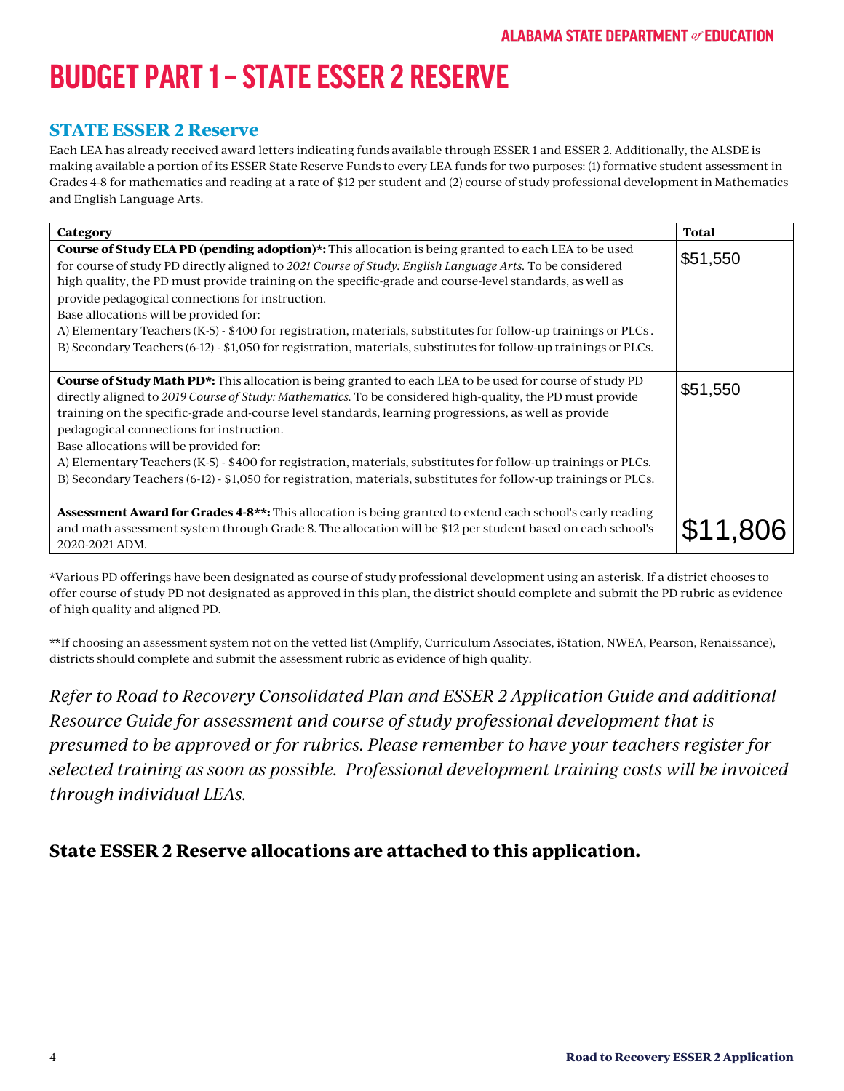# **BUDGET PART1 – STATEESSER 2 RESERVE**

### **STATE ESSER 2 Reserve**

Each LEA has already received award letters indicating funds available through ESSER 1 and ESSER 2. Additionally, the ALSDE is making available a portion of its ESSER State Reserve Funds to every LEA funds for two purposes: (1) formative student assessment in Grades 4-8 for mathematics and reading at a rate of \$12 per student and (2) course of study professional development in Mathematics and English Language Arts.

| Category                                                                                                                                                                                                                                                                                                                                                                                                                                                                                                                                                                                                                                                              | <b>Total</b> |
|-----------------------------------------------------------------------------------------------------------------------------------------------------------------------------------------------------------------------------------------------------------------------------------------------------------------------------------------------------------------------------------------------------------------------------------------------------------------------------------------------------------------------------------------------------------------------------------------------------------------------------------------------------------------------|--------------|
| <b>Course of Study ELA PD (pending adoption)*:</b> This allocation is being granted to each LEA to be used<br>for course of study PD directly aligned to 2021 Course of Study: English Language Arts. To be considered<br>high quality, the PD must provide training on the specific-grade and course-level standards, as well as<br>provide pedagogical connections for instruction.<br>Base allocations will be provided for:<br>A) Elementary Teachers (K-5) - \$400 for registration, materials, substitutes for follow-up trainings or PLCs.<br>B) Secondary Teachers (6-12) - \$1,050 for registration, materials, substitutes for follow-up trainings or PLCs. | \$51,550     |
| <b>Course of Study Math PD*:</b> This allocation is being granted to each LEA to be used for course of study PD<br>directly aligned to 2019 Course of Study: Mathematics. To be considered high-quality, the PD must provide<br>training on the specific-grade and-course level standards, learning progressions, as well as provide<br>pedagogical connections for instruction.<br>Base allocations will be provided for:<br>A) Elementary Teachers (K-5) - \$400 for registration, materials, substitutes for follow-up trainings or PLCs.<br>B) Secondary Teachers (6-12) - \$1,050 for registration, materials, substitutes for follow-up trainings or PLCs.      | \$51,550     |
| <b>Assessment Award for Grades 4-8**:</b> This allocation is being granted to extend each school's early reading<br>and math assessment system through Grade 8. The allocation will be \$12 per student based on each school's<br>2020-2021 ADM.                                                                                                                                                                                                                                                                                                                                                                                                                      |              |

\*Various PD offerings have been designated as course of study professional development using an asterisk. If a district chooses to offer course of study PD not designated as approved in this plan, the district should complete and submit the PD rubric as evidence of high quality and aligned PD.

\*\*If choosing an assessment system not on the vetted list (Amplify, Curriculum Associates, iStation, NWEA, Pearson, Renaissance), districts should complete and submit the assessment rubric as evidence of high quality.

*Refer to Road to Recovery Consolidated Plan and ESSER 2 Application Guide and additional Resource Guide for assessment and course of study professional development that is presumed to be approved or for rubrics. Please remember to have your teachers register for selected training as soon as possible. Professional development training costs will be invoiced through individual LEAs.*

### **State ESSER 2 Reserve allocations are attached to this application.**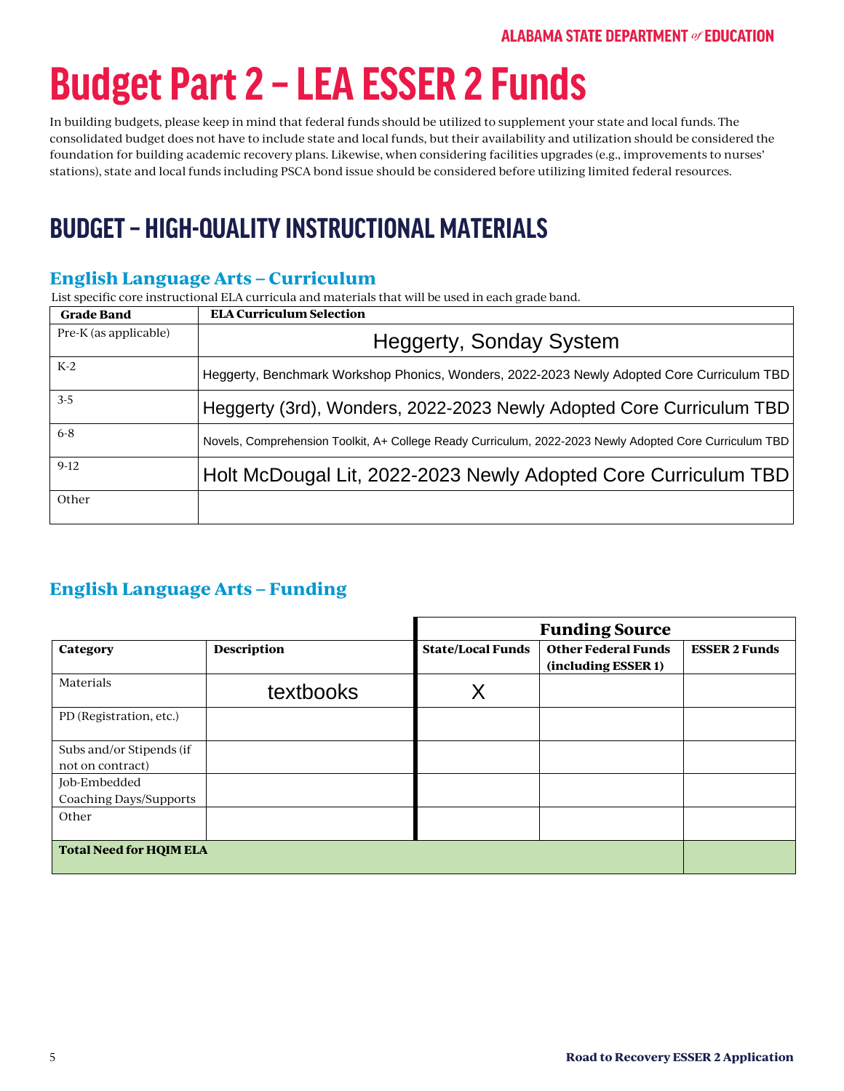# **Budget Part2 – LEA ESSER 2 Funds**

In building budgets, please keep in mind that federal funds should be utilized to supplement your state and local funds. The consolidated budget does not have to include state and local funds, but their availability and utilization should be considered the foundation for building academic recovery plans. Likewise, when considering facilities upgrades (e.g., improvements to nurses' stations), state and local funds including PSCA bond issue should be considered before utilizing limited federal resources.

# **BUDGET – HIGH-QUALITY INSTRUCTIONAL MATERIALS**

### **English Language Arts – Curriculum**

List specific core instructional ELA curricula and materials that will be used in each grade band.

| <b>Grade Band</b>     | <b>ELA Curriculum Selection</b>                                                                         |
|-----------------------|---------------------------------------------------------------------------------------------------------|
| Pre-K (as applicable) | <b>Heggerty, Sonday System</b>                                                                          |
| $K-2$                 | Heggerty, Benchmark Workshop Phonics, Wonders, 2022-2023 Newly Adopted Core Curriculum TBD              |
| $3-5$                 | Heggerty (3rd), Wonders, 2022-2023 Newly Adopted Core Curriculum TBD                                    |
| $6 - 8$               | Novels, Comprehension Toolkit, A+ College Ready Curriculum, 2022-2023 Newly Adopted Core Curriculum TBD |
| $9-12$                | Holt McDougal Lit, 2022-2023 Newly Adopted Core Curriculum TBD                                          |
| Other                 |                                                                                                         |

### **English Language Arts – Funding**

|                                              |                                | <b>Funding Source</b>    |                                                   |                      |  |
|----------------------------------------------|--------------------------------|--------------------------|---------------------------------------------------|----------------------|--|
| Category                                     | <b>Description</b>             | <b>State/Local Funds</b> | <b>Other Federal Funds</b><br>(including ESSER 1) | <b>ESSER 2 Funds</b> |  |
| Materials                                    | textbooks                      |                          |                                                   |                      |  |
| PD (Registration, etc.)                      |                                |                          |                                                   |                      |  |
| Subs and/or Stipends (if<br>not on contract) |                                |                          |                                                   |                      |  |
| Job-Embedded<br>Coaching Days/Supports       |                                |                          |                                                   |                      |  |
| Other                                        |                                |                          |                                                   |                      |  |
|                                              | <b>Total Need for HQIM ELA</b> |                          |                                                   |                      |  |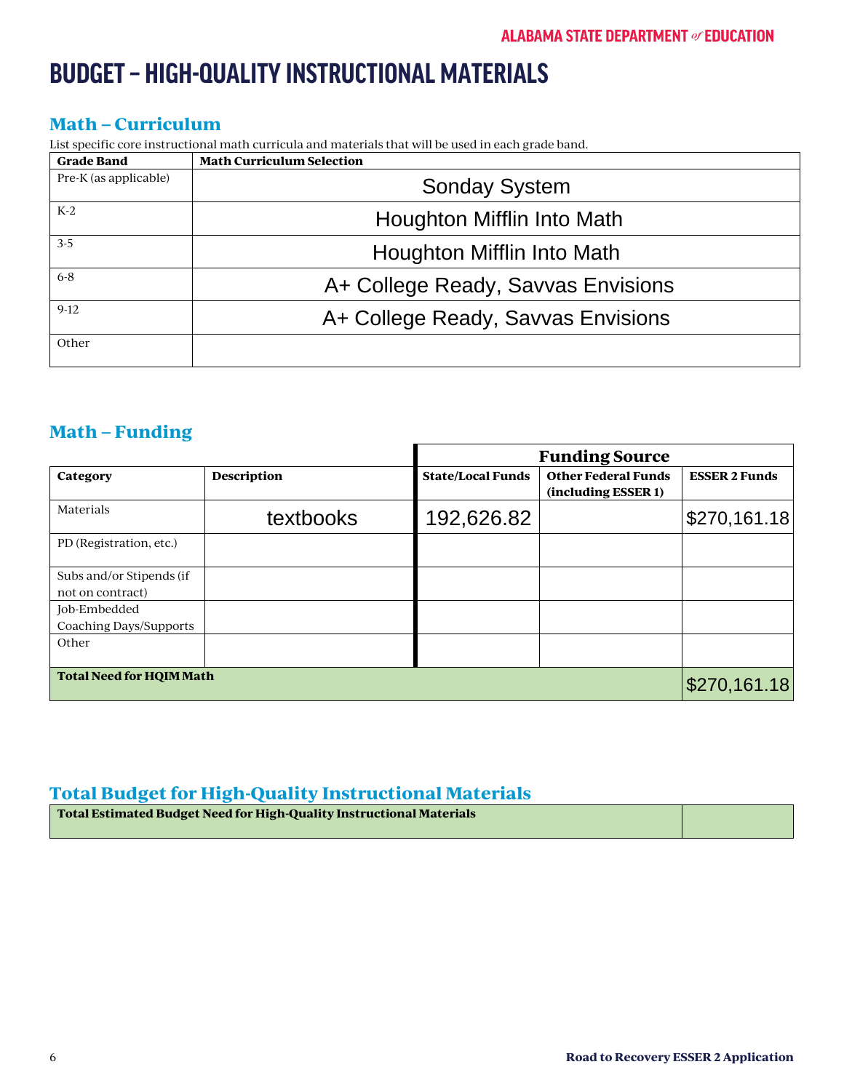# **BUDGET – HIGH-QUALITY INSTRUCTIONAL MATERIALS**

### **Math – Curriculum**

List specific core instructional math curricula and materials that will be used in each grade band.

| <b>Grade Band</b>     | <b>Math Curriculum Selection</b>   |
|-----------------------|------------------------------------|
| Pre-K (as applicable) | <b>Sonday System</b>               |
| $K-2$                 | Houghton Mifflin Into Math         |
| $3-5$                 | Houghton Mifflin Into Math         |
| $6 - 8$               | A+ College Ready, Savvas Envisions |
| $9-12$                | A+ College Ready, Savvas Envisions |
| Other                 |                                    |

### **Math – Funding**

|                                              |                    | <b>Funding Source</b>    |                                                   |                      |  |
|----------------------------------------------|--------------------|--------------------------|---------------------------------------------------|----------------------|--|
| Category                                     | <b>Description</b> | <b>State/Local Funds</b> | <b>Other Federal Funds</b><br>(including ESSER 1) | <b>ESSER 2 Funds</b> |  |
| Materials                                    | textbooks          | 192,626.82               |                                                   | \$270,161.18         |  |
| PD (Registration, etc.)                      |                    |                          |                                                   |                      |  |
| Subs and/or Stipends (if<br>not on contract) |                    |                          |                                                   |                      |  |
| Job-Embedded                                 |                    |                          |                                                   |                      |  |
| Coaching Days/Supports<br>Other              |                    |                          |                                                   |                      |  |
| <b>Total Need for HQIM Math</b>              |                    |                          |                                                   | \$270,161.18         |  |

### **Total Budget for High-Quality Instructional Materials**

| Total Estimated Budget Need for High-Quality Instructional Materials |  |  |  |  |
|----------------------------------------------------------------------|--|--|--|--|
|                                                                      |  |  |  |  |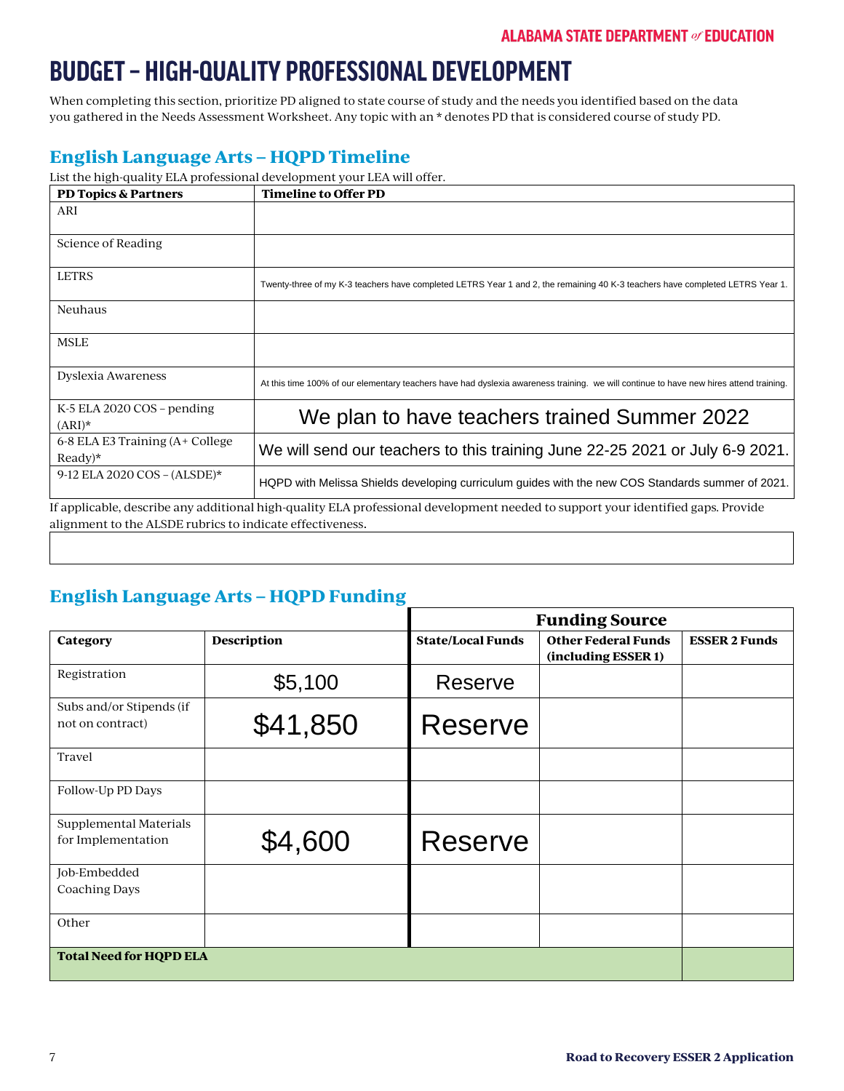# **BUDGET – HIGH-QUALITY PROFESSIONAL DEVELOPMENT**

When completing this section, prioritize PD aligned to state course of study and the needs you identified based on the data you gathered in the Needs Assessment Worksheet. Any topic with an \* denotes PD that is considered course of study PD.

# **English Language Arts – HQPD Timeline**

| <b>PD Topics &amp; Partners</b>              | <b>Timeline to Offer PD</b>                                                                                                            |
|----------------------------------------------|----------------------------------------------------------------------------------------------------------------------------------------|
| ARI                                          |                                                                                                                                        |
| Science of Reading                           |                                                                                                                                        |
| <b>LETRS</b>                                 | Twenty-three of my K-3 teachers have completed LETRS Year 1 and 2, the remaining 40 K-3 teachers have completed LETRS Year 1.          |
| <b>Neuhaus</b>                               |                                                                                                                                        |
| <b>MSLE</b>                                  |                                                                                                                                        |
| Dyslexia Awareness                           | At this time 100% of our elementary teachers have had dyslexia awareness training. we will continue to have new hires attend training. |
| K-5 ELA 2020 COS $-$ pending<br>$(ARI)^*$    | We plan to have teachers trained Summer 2022                                                                                           |
| 6-8 ELA E3 Training (A+ College<br>$Readv)*$ | We will send our teachers to this training June 22-25 2021 or July 6-9 2021.                                                           |
| 9-12 ELA 2020 COS - $(ALSDE)*$               | HQPD with Melissa Shields developing curriculum guides with the new COS Standards summer of 2021.                                      |
|                                              | If applicable, describe any additional high-quality ELA professional development needed to support your identified gaps. Provide       |

alignment to the ALSDE rubrics to indicate effectiveness.

# **English Language Arts – HQPD Funding**

|                                              |                                | <b>Funding Source</b>    |                                                   |                      |  |
|----------------------------------------------|--------------------------------|--------------------------|---------------------------------------------------|----------------------|--|
| Category                                     | <b>Description</b>             | <b>State/Local Funds</b> | <b>Other Federal Funds</b><br>(including ESSER 1) | <b>ESSER 2 Funds</b> |  |
| Registration                                 | \$5,100                        | Reserve                  |                                                   |                      |  |
| Subs and/or Stipends (if<br>not on contract) | \$41,850                       | <b>Reserve</b>           |                                                   |                      |  |
| Travel                                       |                                |                          |                                                   |                      |  |
| Follow-Up PD Days                            |                                |                          |                                                   |                      |  |
| Supplemental Materials<br>for Implementation | \$4,600                        | <b>Reserve</b>           |                                                   |                      |  |
| Job-Embedded<br><b>Coaching Days</b>         |                                |                          |                                                   |                      |  |
| Other                                        |                                |                          |                                                   |                      |  |
|                                              | <b>Total Need for HQPD ELA</b> |                          |                                                   |                      |  |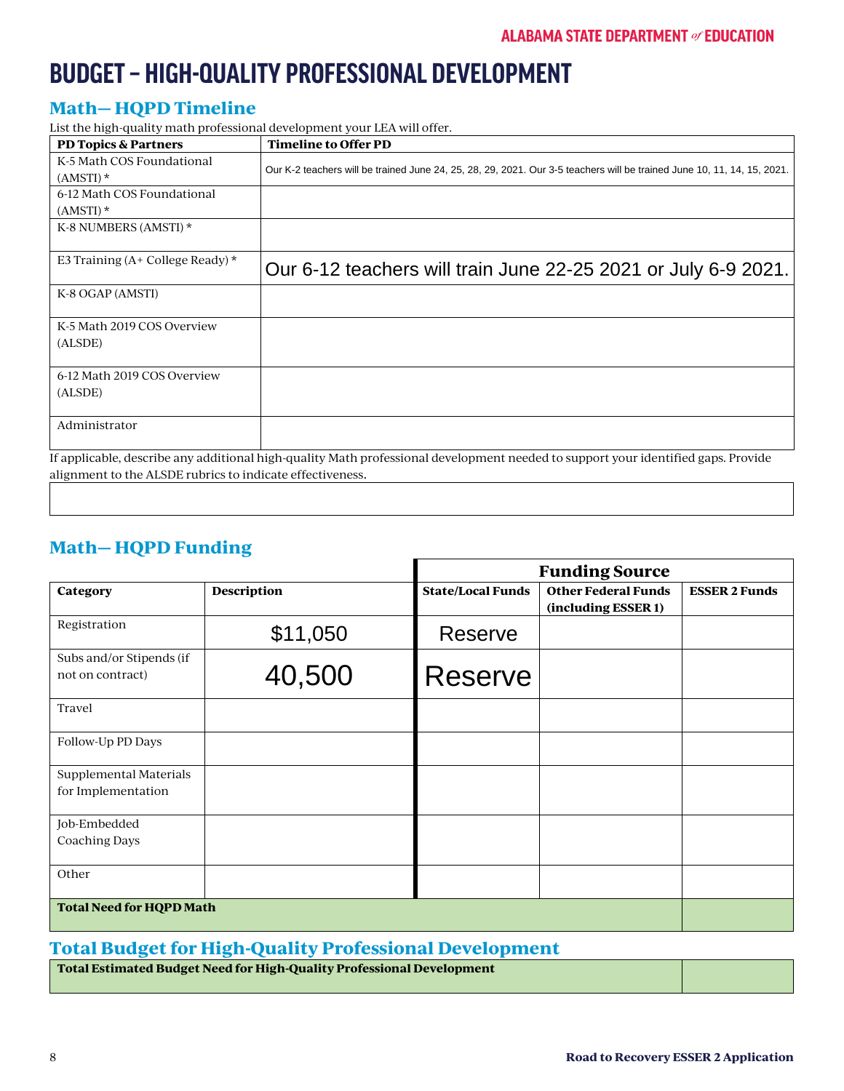# **BUDGET – HIGH-QUALITY PROFESSIONAL DEVELOPMENT**

# **Math— HQPD Timeline**

List the high-quality math professional development your LEA will offer.

| <b>PD Topics &amp; Partners</b>      | <b>Timeline to Offer PD</b>                                                                                                       |
|--------------------------------------|-----------------------------------------------------------------------------------------------------------------------------------|
| K-5 Math COS Foundational            | Our K-2 teachers will be trained June 24, 25, 28, 29, 2021. Our 3-5 teachers will be trained June 10, 11, 14, 15, 2021.           |
| $(AMSTI)$ *                          |                                                                                                                                   |
| 6-12 Math COS Foundational           |                                                                                                                                   |
| $(AMSTI)$ *                          |                                                                                                                                   |
| K-8 NUMBERS (AMSTI) *                |                                                                                                                                   |
|                                      |                                                                                                                                   |
| E3 Training $(A+$ College Ready) $*$ | Our 6-12 teachers will train June 22-25 2021 or July 6-9 2021.                                                                    |
| K-8 OGAP (AMSTI)                     |                                                                                                                                   |
| K-5 Math 2019 COS Overview           |                                                                                                                                   |
| (ALSDE)                              |                                                                                                                                   |
|                                      |                                                                                                                                   |
| 6-12 Math 2019 COS Overview          |                                                                                                                                   |
| (ALSDE)                              |                                                                                                                                   |
|                                      |                                                                                                                                   |
| Administrator                        |                                                                                                                                   |
|                                      | If applicable, describe any additional high-quality Math professional development needed to support your identified gaps. Provide |

alignment to the ALSDE rubrics to indicate effectiveness.

# **Math— HQPD Funding**

|                                              |                    |                          | <b>Funding Source</b>                             |                      |
|----------------------------------------------|--------------------|--------------------------|---------------------------------------------------|----------------------|
| Category                                     | <b>Description</b> | <b>State/Local Funds</b> | <b>Other Federal Funds</b><br>(including ESSER 1) | <b>ESSER 2 Funds</b> |
| Registration                                 | \$11,050           | <b>Reserve</b>           |                                                   |                      |
| Subs and/or Stipends (if<br>not on contract) | 40,500             | Reserve                  |                                                   |                      |
| Travel                                       |                    |                          |                                                   |                      |
| Follow-Up PD Days                            |                    |                          |                                                   |                      |
| Supplemental Materials<br>for Implementation |                    |                          |                                                   |                      |
| Job-Embedded<br><b>Coaching Days</b>         |                    |                          |                                                   |                      |
| Other                                        |                    |                          |                                                   |                      |
| <b>Total Need for HQPD Math</b>              |                    |                          |                                                   |                      |

### **Total Budget for High-Quality Professional Development**

| Total Estimated Budget Need for High-Quality Professional Development |  |
|-----------------------------------------------------------------------|--|
|                                                                       |  |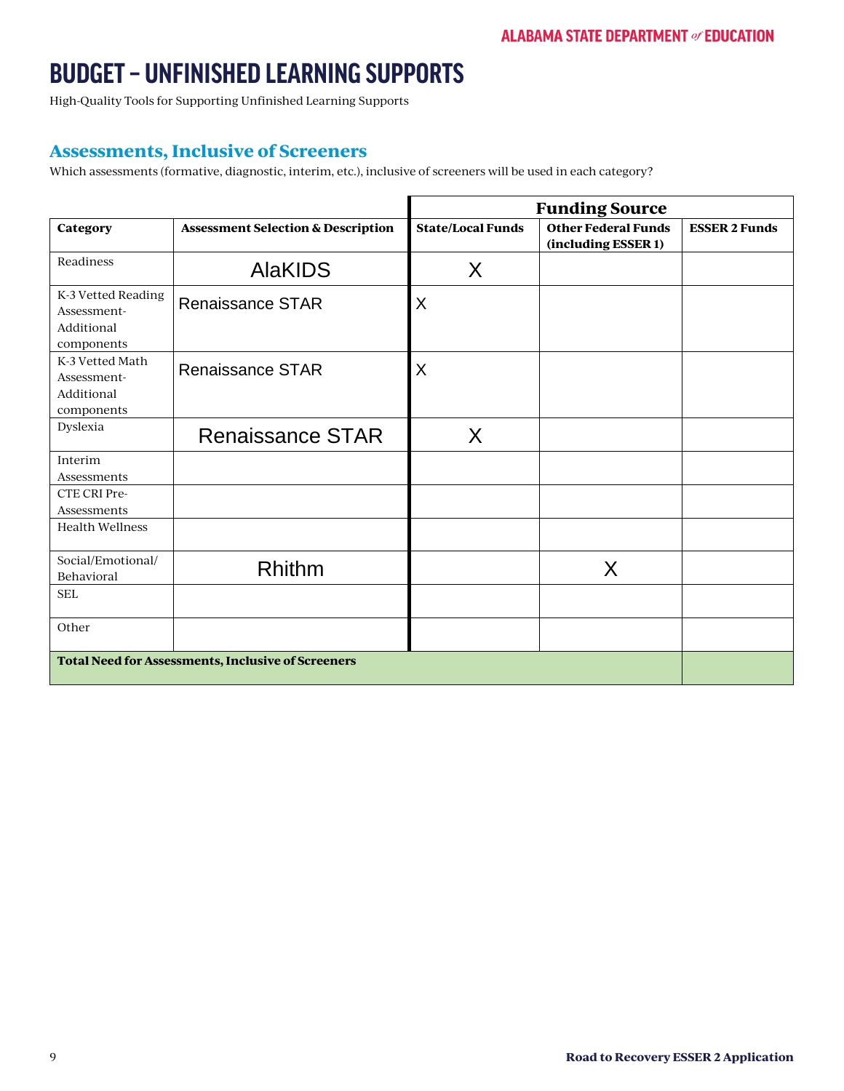High-Quality Tools for Supporting Unfinished Learning Supports

#### **Assessments, Inclusive of Screeners**

Which assessments (formative, diagnostic, interim, etc.), inclusive of screeners will be used in each category?

|                                                               |                                               | <b>Funding Source</b>    |                                                   |                      |
|---------------------------------------------------------------|-----------------------------------------------|--------------------------|---------------------------------------------------|----------------------|
| Category                                                      | <b>Assessment Selection &amp; Description</b> | <b>State/Local Funds</b> | <b>Other Federal Funds</b><br>(including ESSER 1) | <b>ESSER 2 Funds</b> |
| Readiness                                                     | <b>AlaKIDS</b>                                | X                        |                                                   |                      |
| K-3 Vetted Reading<br>Assessment-<br>Additional<br>components | <b>Renaissance STAR</b>                       | X                        |                                                   |                      |
| K-3 Vetted Math<br>Assessment-<br>Additional<br>components    | <b>Renaissance STAR</b>                       | X                        |                                                   |                      |
| Dyslexia                                                      | <b>Renaissance STAR</b>                       | X                        |                                                   |                      |
| Interim<br>Assessments                                        |                                               |                          |                                                   |                      |
| CTE CRI Pre-<br>Assessments                                   |                                               |                          |                                                   |                      |
| <b>Health Wellness</b>                                        |                                               |                          |                                                   |                      |
| Social/Emotional/<br>Behavioral<br><b>SEL</b>                 | <b>Rhithm</b>                                 |                          | X                                                 |                      |
| Other                                                         |                                               |                          |                                                   |                      |
| <b>Total Need for Assessments, Inclusive of Screeners</b>     |                                               |                          |                                                   |                      |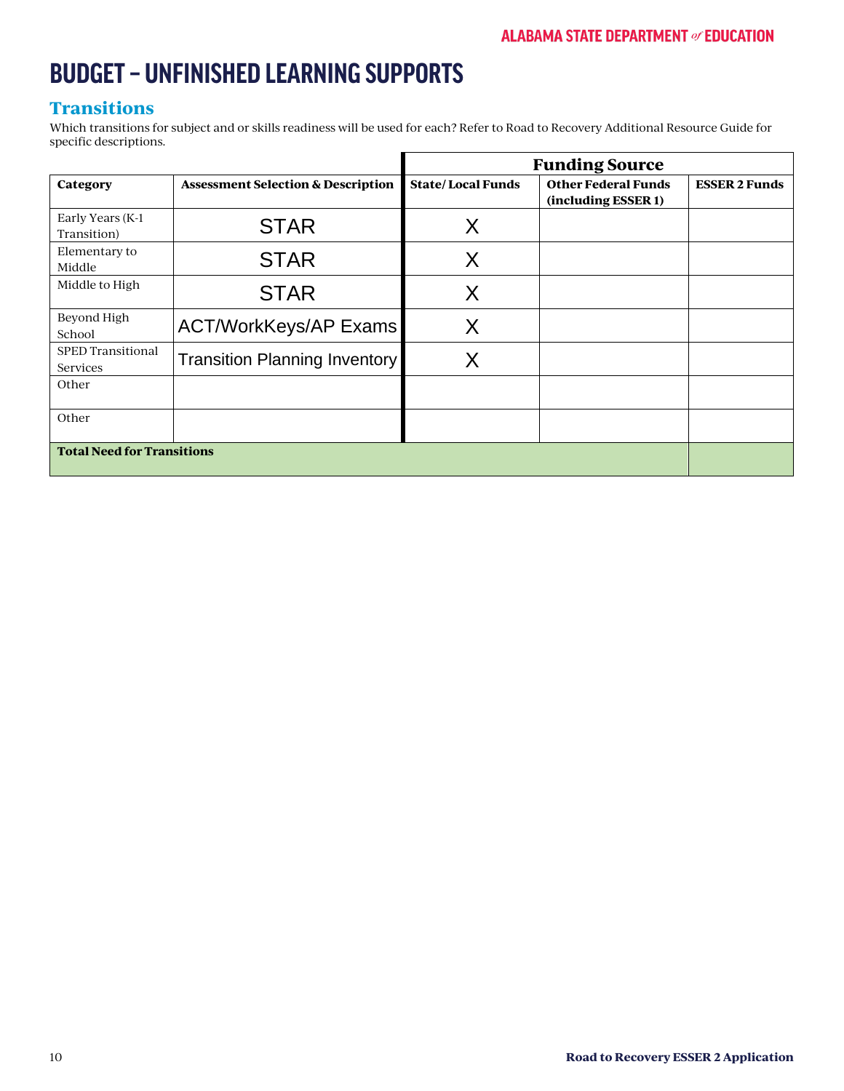### **Transitions**

Which transitions for subject and or skills readiness will be used for each? Refer to Road to Recovery Additional Resource Guide for specific descriptions.

|                                      |                                               | <b>Funding Source</b>    |                                                   |                      |
|--------------------------------------|-----------------------------------------------|--------------------------|---------------------------------------------------|----------------------|
| Category                             | <b>Assessment Selection &amp; Description</b> | <b>State/Local Funds</b> | <b>Other Federal Funds</b><br>(including ESSER 1) | <b>ESSER 2 Funds</b> |
| Early Years (K-1)<br>Transition)     | <b>STAR</b>                                   | Χ                        |                                                   |                      |
| Elementary to<br>Middle              | <b>STAR</b>                                   | Χ                        |                                                   |                      |
| Middle to High                       | <b>STAR</b>                                   | Χ                        |                                                   |                      |
| Beyond High<br>School                | <b>ACT/WorkKeys/AP Exams</b>                  | X                        |                                                   |                      |
| <b>SPED Transitional</b><br>Services | <b>Transition Planning Inventory</b>          | Χ                        |                                                   |                      |
| Other                                |                                               |                          |                                                   |                      |
| Other                                |                                               |                          |                                                   |                      |
| <b>Total Need for Transitions</b>    |                                               |                          |                                                   |                      |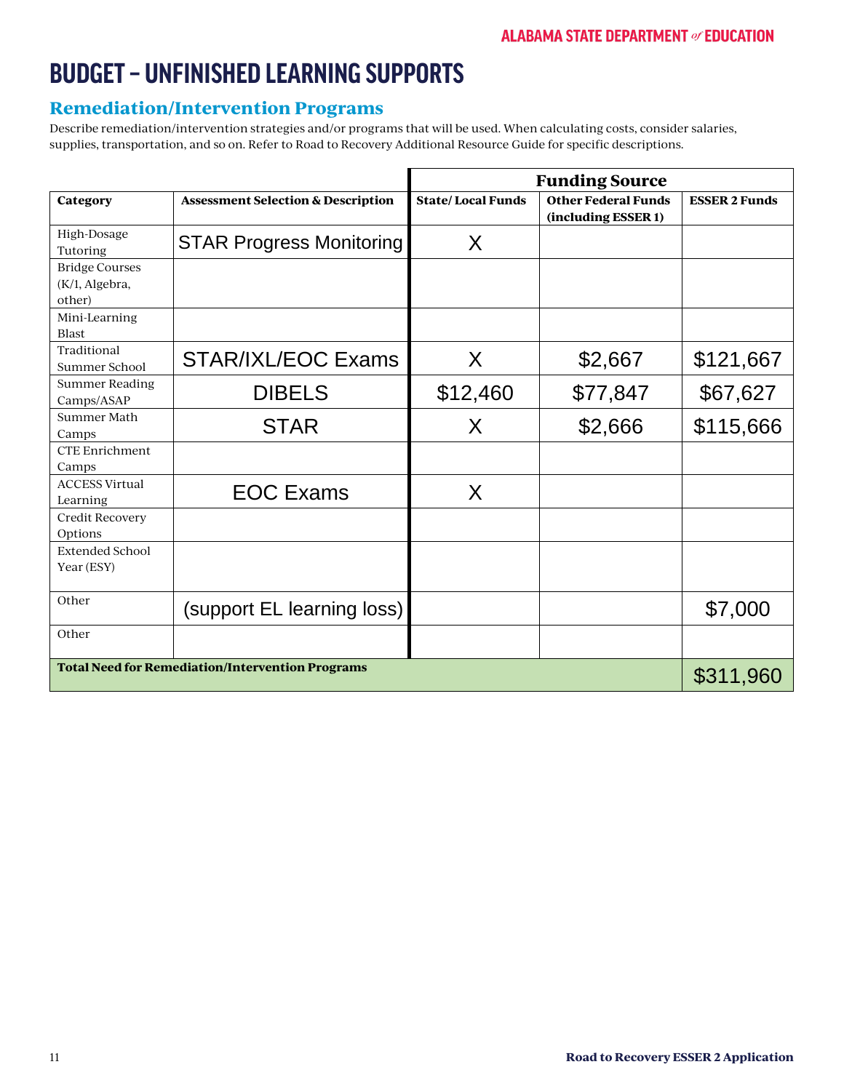### **Remediation/Intervention Programs**

Describe remediation/intervention strategies and/or programs that will be used. When calculating costs, consider salaries, supplies, transportation, and so on. Refer to Road to Recovery Additional Resource Guide for specific descriptions.

|                                                   |                                                         | <b>Funding Source</b>    |                                                   |                      |
|---------------------------------------------------|---------------------------------------------------------|--------------------------|---------------------------------------------------|----------------------|
| Category                                          | <b>Assessment Selection &amp; Description</b>           | <b>State/Local Funds</b> | <b>Other Federal Funds</b><br>(including ESSER 1) | <b>ESSER 2 Funds</b> |
| High-Dosage<br>Tutoring                           | <b>STAR Progress Monitoring</b>                         | $\sf X$                  |                                                   |                      |
| <b>Bridge Courses</b><br>(K/1, Algebra,<br>other) |                                                         |                          |                                                   |                      |
| Mini-Learning<br><b>Blast</b>                     |                                                         |                          |                                                   |                      |
| Traditional<br>Summer School                      | <b>STAR/IXL/EOC Exams</b>                               | X                        | \$2,667                                           | \$121,667            |
| <b>Summer Reading</b><br>Camps/ASAP               | <b>DIBELS</b>                                           | \$12,460                 | \$77,847                                          | \$67,627             |
| Summer Math<br>Camps                              | <b>STAR</b>                                             | X                        | \$2,666                                           | \$115,666            |
| <b>CTE Enrichment</b><br>Camps                    |                                                         |                          |                                                   |                      |
| <b>ACCESS Virtual</b><br>Learning                 | <b>EOC Exams</b>                                        | X                        |                                                   |                      |
| <b>Credit Recovery</b><br>Options                 |                                                         |                          |                                                   |                      |
| <b>Extended School</b><br>Year (ESY)              |                                                         |                          |                                                   |                      |
| Other                                             | (support EL learning loss)                              |                          |                                                   | \$7,000              |
| Other                                             |                                                         |                          |                                                   |                      |
|                                                   | <b>Total Need for Remediation/Intervention Programs</b> |                          |                                                   | \$311,960            |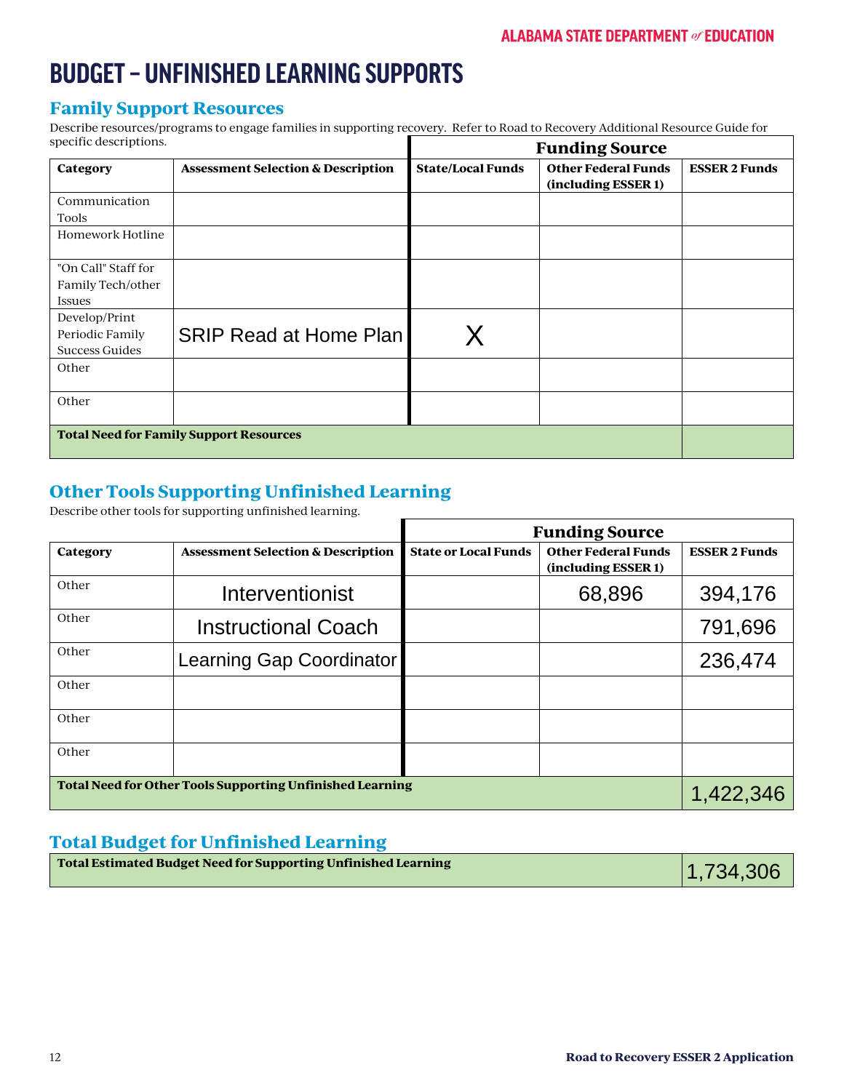#### **Family Support Resources**

Describe resources/programs to engage families in supporting recovery. Refer to Road to Recovery Additional Resource Guide for specific descriptions. specific descriptions. **Funding Source**

|                                                |                                               | <b>Funding Source</b>    |                                                   |                      |
|------------------------------------------------|-----------------------------------------------|--------------------------|---------------------------------------------------|----------------------|
| Category                                       | <b>Assessment Selection &amp; Description</b> | <b>State/Local Funds</b> | <b>Other Federal Funds</b><br>(including ESSER 1) | <b>ESSER 2 Funds</b> |
| Communication                                  |                                               |                          |                                                   |                      |
| Tools                                          |                                               |                          |                                                   |                      |
| Homework Hotline                               |                                               |                          |                                                   |                      |
| "On Call" Staff for                            |                                               |                          |                                                   |                      |
| Family Tech/other                              |                                               |                          |                                                   |                      |
| <b>Issues</b>                                  |                                               |                          |                                                   |                      |
| Develop/Print                                  |                                               |                          |                                                   |                      |
| Periodic Family                                | <b>SRIP Read at Home Plan</b>                 |                          |                                                   |                      |
| <b>Success Guides</b>                          |                                               |                          |                                                   |                      |
| Other                                          |                                               |                          |                                                   |                      |
| Other                                          |                                               |                          |                                                   |                      |
| <b>Total Need for Family Support Resources</b> |                                               |                          |                                                   |                      |

### **Other Tools Supporting Unfinished Learning**

Describe other tools for supporting unfinished learning.

|                                                                  |                                               | <b>Funding Source</b>       |                                                   |                      |
|------------------------------------------------------------------|-----------------------------------------------|-----------------------------|---------------------------------------------------|----------------------|
| Category                                                         | <b>Assessment Selection &amp; Description</b> | <b>State or Local Funds</b> | <b>Other Federal Funds</b><br>(including ESSER 1) | <b>ESSER 2 Funds</b> |
| Other                                                            | <b>Interventionist</b>                        |                             | 68,896                                            | 394,176              |
| Other                                                            | <b>Instructional Coach</b>                    |                             |                                                   | 791,696              |
| Other                                                            | Learning Gap Coordinator                      |                             |                                                   | 236,474              |
| Other                                                            |                                               |                             |                                                   |                      |
| Other                                                            |                                               |                             |                                                   |                      |
| Other                                                            |                                               |                             |                                                   |                      |
| <b>Total Need for Other Tools Supporting Unfinished Learning</b> |                                               |                             | 1,422,346                                         |                      |

### **Total Budget for Unfinished Learning**

| Total Estimated Budget Need for Supporting Unfinished Learning | 1,734,306 |
|----------------------------------------------------------------|-----------|
|                                                                |           |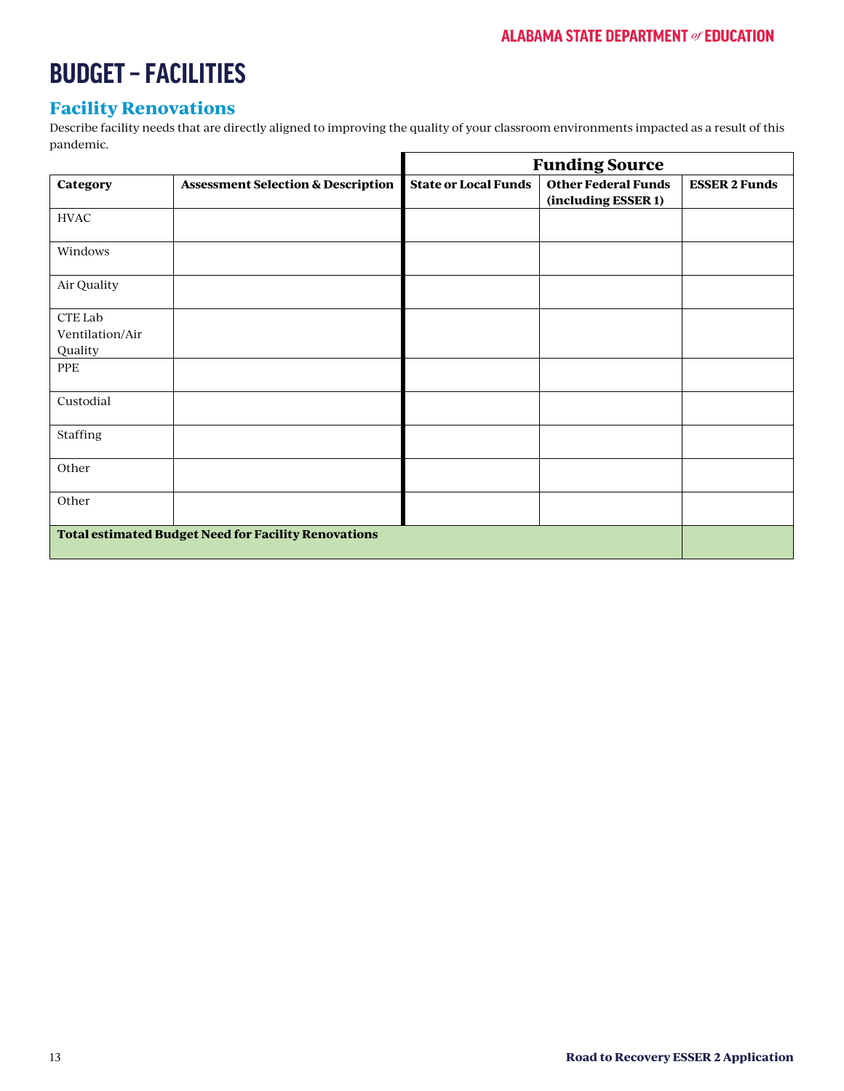٦

# **BUDGET – FACILITIES**

### **Facility Renovations**

Describe facility needs that are directly aligned to improving the quality of your classroom environments impacted as a result of this pandemic.  $\blacksquare$ 

|                                                             |                                               |                             | <b>Funding Source</b>                             |                      |
|-------------------------------------------------------------|-----------------------------------------------|-----------------------------|---------------------------------------------------|----------------------|
| Category                                                    | <b>Assessment Selection &amp; Description</b> | <b>State or Local Funds</b> | <b>Other Federal Funds</b><br>(including ESSER 1) | <b>ESSER 2 Funds</b> |
| <b>HVAC</b>                                                 |                                               |                             |                                                   |                      |
| Windows                                                     |                                               |                             |                                                   |                      |
| Air Quality                                                 |                                               |                             |                                                   |                      |
| CTE Lab<br>Ventilation/Air<br>Quality                       |                                               |                             |                                                   |                      |
| PPE                                                         |                                               |                             |                                                   |                      |
| Custodial                                                   |                                               |                             |                                                   |                      |
| Staffing                                                    |                                               |                             |                                                   |                      |
| Other                                                       |                                               |                             |                                                   |                      |
| Other                                                       |                                               |                             |                                                   |                      |
| <b>Total estimated Budget Need for Facility Renovations</b> |                                               |                             |                                                   |                      |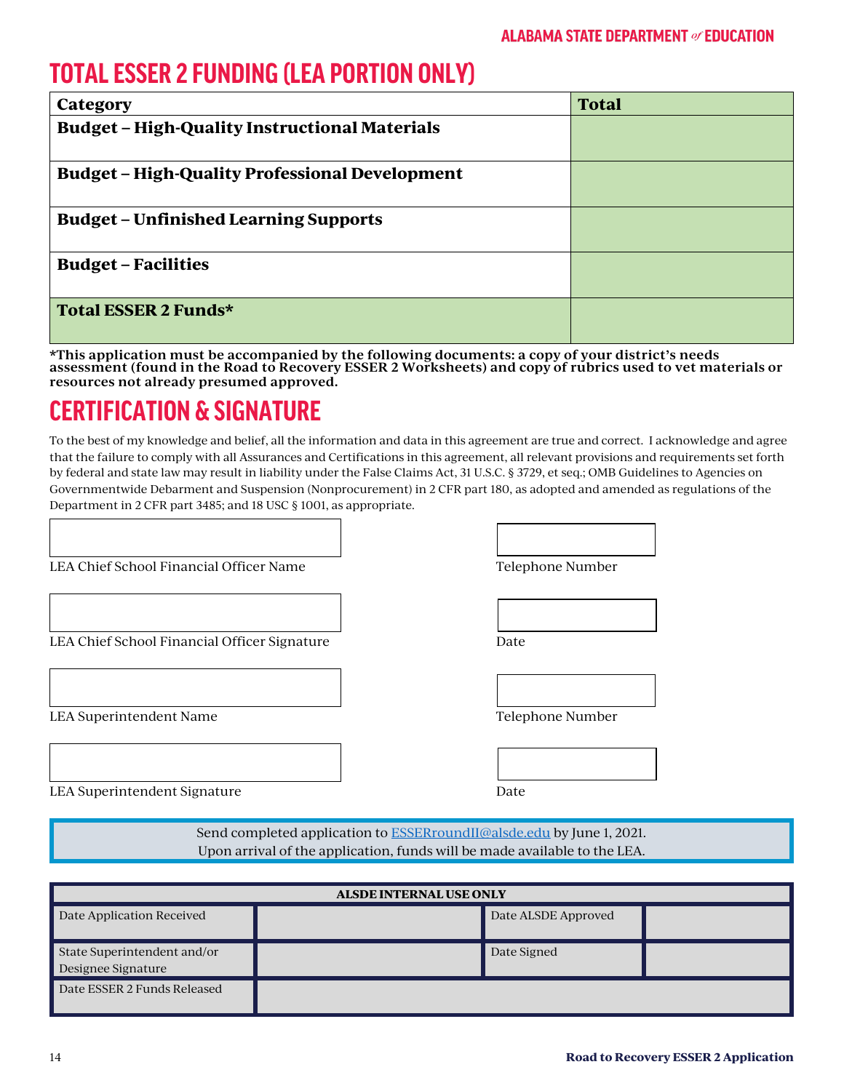# **TOTAL ESSER 2 FUNDING (LEA PORTION ONLY)**

| Category                                              | <b>Total</b> |
|-------------------------------------------------------|--------------|
| <b>Budget - High-Quality Instructional Materials</b>  |              |
| <b>Budget - High-Quality Professional Development</b> |              |
| <b>Budget – Unfinished Learning Supports</b>          |              |
| <b>Budget – Facilities</b>                            |              |
| Total ESSER 2 Funds*                                  |              |

**\*This application must be accompanied by the following documents: a copy of your district's needs assessment (found in the Road to Recovery ESSER 2 Worksheets) and copy of rubrics used to vet materials or resources not already presumed approved.**

# **CERTIFICATION & SIGNATURE**

To the best of my knowledge and belief, all the information and data in this agreement are true and correct. I acknowledge and agree that the failure to comply with all Assurances and Certifications in this agreement, all relevant provisions and requirements set forth by federal and state law may result in liability under the False Claims Act, 31 U.S.C. § 3729, et seq.; OMB Guidelines to Agencies on Governmentwide Debarment and Suspension (Nonprocurement) in 2 CFR part 180, as adopted and amended as regulations of the Department in 2 CFR part 3485; and 18 USC § 1001, as appropriate.

LEA Chief School Financial Officer Name Telephone Number

| $\sim$ |  |  |
|--------|--|--|
|        |  |  |
|        |  |  |
|        |  |  |
|        |  |  |

LEA Chief School Financial Officer Signature Date

LEA Superintendent Name

| Felenhone Numher |  |
|------------------|--|

| $\lambda$ |  |  |  |
|-----------|--|--|--|

LEA Superintendent Signature Date Date Date

Send completed application to **ESSERroundII@alsde.edu** by June 1, 2021. Upon arrival of the application, funds will be made available to the LEA.

| <b>ALSDE INTERNAL USE ONLY</b>                    |  |                     |  |  |  |  |  |  |  |  |  |  |
|---------------------------------------------------|--|---------------------|--|--|--|--|--|--|--|--|--|--|
| Date Application Received                         |  | Date ALSDE Approved |  |  |  |  |  |  |  |  |  |  |
| State Superintendent and/or<br>Designee Signature |  | Date Signed         |  |  |  |  |  |  |  |  |  |  |
| Date ESSER 2 Funds Released                       |  |                     |  |  |  |  |  |  |  |  |  |  |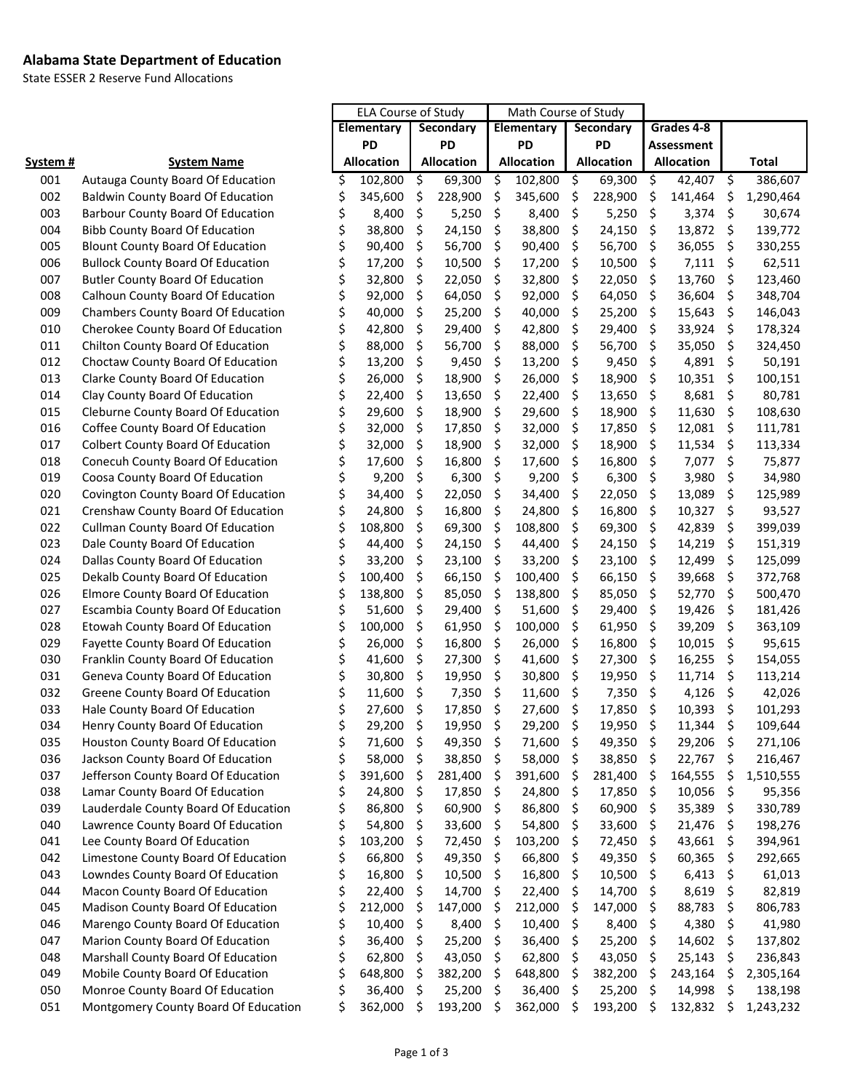#### **Alabama State Department of Education**

State ESSER 2 Reserve Fund Allocations

|                 |                                           | <b>ELA Course of Study</b> |                   |                    |                   | Math Course of Study |                   |                    |                   |            |                   |     |              |
|-----------------|-------------------------------------------|----------------------------|-------------------|--------------------|-------------------|----------------------|-------------------|--------------------|-------------------|------------|-------------------|-----|--------------|
|                 |                                           | Elementary                 |                   | Secondary          |                   | Elementary           |                   | Secondary          |                   | Grades 4-8 |                   |     |              |
|                 |                                           | PD                         |                   | <b>PD</b>          |                   | PD                   |                   | <b>PD</b>          |                   | Assessment |                   |     |              |
| <u>System #</u> | <b>System Name</b>                        |                            | <b>Allocation</b> |                    | <b>Allocation</b> |                      | <b>Allocation</b> |                    | <b>Allocation</b> |            | <b>Allocation</b> |     | <b>Total</b> |
| 001             | Autauga County Board Of Education         | \$                         | 102,800           | \$                 | 69,300            | \$                   | 102,800           | $\ddot{\varsigma}$ | 69,300            | \$         | 42,407            | \$  | 386,607      |
| 002             | <b>Baldwin County Board Of Education</b>  |                            | 345,600           | \$                 | 228,900           | \$                   | 345,600           | \$                 | 228,900           | \$         | 141,464           | \$  | 1,290,464    |
| 003             | <b>Barbour County Board Of Education</b>  | \$                         | 8,400             | \$                 | 5,250             | \$                   | 8,400             | $\zeta$            | 5,250             | \$         | 3,374             | \$  | 30,674       |
| 004             | <b>Bibb County Board Of Education</b>     | \$                         | 38,800            | \$                 | 24,150            | \$                   | 38,800            | \$                 | 24,150            | \$         | 13,872            | \$  | 139,772      |
| 005             | <b>Blount County Board Of Education</b>   | \$                         | 90,400            | \$                 | 56,700            | \$                   | 90,400            | \$                 | 56,700            | \$         | 36,055            | \$  | 330,255      |
| 006             | <b>Bullock County Board Of Education</b>  |                            | 17,200            | \$                 | 10,500            | \$                   | 17,200            | \$                 | 10,500            | \$         | 7,111             | \$  | 62,511       |
| 007             | <b>Butler County Board Of Education</b>   | \$                         | 32,800            | \$                 | 22,050            | \$                   | 32,800            | \$                 | 22,050            | \$         | 13,760            | \$  | 123,460      |
| 008             | Calhoun County Board Of Education         |                            | 92,000            | \$                 | 64,050            | \$                   | 92,000            | \$                 | 64,050            | \$         | 36,604            | \$  | 348,704      |
| 009             | <b>Chambers County Board Of Education</b> | \$                         | 40,000            | \$                 | 25,200            | \$                   | 40,000            | \$                 | 25,200            | \$         | 15,643            | \$  | 146,043      |
| 010             | Cherokee County Board Of Education        | \$                         | 42,800            | \$                 | 29,400            | \$                   | 42,800            | \$                 | 29,400            | \$         | 33,924            | \$  | 178,324      |
| 011             | Chilton County Board Of Education         |                            | 88,000            | \$                 | 56,700            | \$                   | 88,000            | \$                 | 56,700            | \$         | 35,050            | \$  | 324,450      |
| 012             | Choctaw County Board Of Education         |                            | 13,200            | \$                 | 9,450             | \$                   | 13,200            | \$                 | 9,450             | \$         | 4,891             | \$  | 50,191       |
| 013             | Clarke County Board Of Education          |                            | 26,000            | \$                 | 18,900            | \$                   | 26,000            | \$                 | 18,900            | \$         | 10,351            | \$  | 100,151      |
| 014             | Clay County Board Of Education            |                            | 22,400            | \$                 | 13,650            | \$                   | 22,400            | \$                 | 13,650            | \$         | 8,681             | \$  | 80,781       |
| 015             | Cleburne County Board Of Education        |                            | 29,600            | \$                 | 18,900            | \$                   | 29,600            | \$                 | 18,900            | \$         | 11,630            | \$  | 108,630      |
| 016             | Coffee County Board Of Education          |                            | 32,000            | \$                 | 17,850            | \$                   | 32,000            | \$                 | 17,850            | \$         | 12,081            | \$  | 111,781      |
| 017             | <b>Colbert County Board Of Education</b>  |                            | 32,000            | \$                 | 18,900            | \$                   | 32,000            | \$                 | 18,900            | \$         | 11,534            | \$  | 113,334      |
| 018             | Conecuh County Board Of Education         |                            | 17,600            | \$                 | 16,800            | \$                   | 17,600            | \$                 | 16,800            | \$         | 7,077             | \$  | 75,877       |
| 019             | Coosa County Board Of Education           |                            | 9,200             | \$                 | 6,300             | \$                   | 9,200             | \$                 | 6,300             | \$         | 3,980             | \$  | 34,980       |
| 020             | Covington County Board Of Education       |                            | 34,400            | \$                 | 22,050            | \$                   | 34,400            | \$                 | 22,050            | \$         | 13,089            | \$  | 125,989      |
| 021             | Crenshaw County Board Of Education        |                            | 24,800            | \$                 | 16,800            | \$                   | 24,800            | \$                 | 16,800            | \$         | 10,327            | \$  | 93,527       |
| 022             | <b>Cullman County Board Of Education</b>  |                            | 108,800           | \$                 | 69,300            | \$                   | 108,800           | \$                 | 69,300            | \$         | 42,839            | \$  | 399,039      |
| 023             | Dale County Board Of Education            |                            | 44,400            | \$                 | 24,150            | \$                   | 44,400            | \$                 | 24,150            | \$         | 14,219            | \$  | 151,319      |
| 024             | Dallas County Board Of Education          |                            | 33,200            | \$                 | 23,100            | \$                   | 33,200            | \$                 | 23,100            | \$         | 12,499            | \$  | 125,099      |
| 025             | Dekalb County Board Of Education          | \$                         | 100,400           | \$                 | 66,150            | \$                   | 100,400           | \$                 | 66,150            | \$         | 39,668            | \$  | 372,768      |
| 026             | <b>Elmore County Board Of Education</b>   |                            | 138,800           | \$                 | 85,050            | \$                   | 138,800           | \$                 | 85,050            | \$         | 52,770            | \$  | 500,470      |
| 027             | Escambia County Board Of Education        |                            | 51,600            | \$                 | 29,400            | \$                   | 51,600            | \$                 | 29,400            | \$         | 19,426            | \$  | 181,426      |
| 028             | Etowah County Board Of Education          | \$                         | 100,000           | \$                 | 61,950            | \$                   | 100,000           | \$                 | 61,950            | \$         | 39,209            | \$  | 363,109      |
| 029             | Fayette County Board Of Education         |                            | 26,000            | \$                 | 16,800            | \$                   | 26,000            | \$                 | 16,800            | \$         | 10,015            | \$  | 95,615       |
| 030             | Franklin County Board Of Education        |                            | 41,600            | \$                 | 27,300            | \$                   | 41,600            | \$                 | 27,300            | \$         | 16,255            | \$  | 154,055      |
| 031             | Geneva County Board Of Education          |                            | 30,800            | \$                 | 19,950            | \$                   | 30,800            | \$                 | 19,950            | \$         | 11,714            | \$  | 113,214      |
| 032             | Greene County Board Of Education          |                            | 11,600            | \$                 | 7,350             | \$                   | 11,600            | \$                 | 7,350             | \$         | 4,126             | \$  | 42,026       |
| 033             | Hale County Board Of Education            |                            | 27,600            | \$                 | 17,850            | \$                   | 27,600            | \$                 | 17,850            | \$         | 10,393            | \$  | 101,293      |
| 034             | Henry County Board Of Education           | \$                         | 29,200            | $\ddot{\varsigma}$ | 19,950            | - \$                 | 29,200 \$         |                    | 19,950 \$         |            | 11,344            | \$  | 109,644      |
| 035             | Houston County Board Of Education         | \$                         | 71,600            | -\$                | 49,350            | \$                   | 71,600            | -\$                | 49,350            | \$         | 29,206            | \$, | 271,106      |
| 036             | Jackson County Board Of Education         | \$                         | 58,000            | \$                 | 38,850            | -Ş                   | 58,000            | \$                 | 38,850            | \$         | 22,767            | \$  | 216,467      |
| 037             | Jefferson County Board Of Education       | \$                         | 391,600           | -\$                | 281,400           | Ş                    | 391,600           | \$                 | 281,400           | \$         | 164,555           | \$  | 1,510,555    |
| 038             | Lamar County Board Of Education           |                            | 24,800            | \$                 | 17,850            | Ş                    | 24,800            | \$                 | 17,850            | \$         | 10,056            | \$  | 95,356       |
| 039             | Lauderdale County Board Of Education      | \$                         | 86,800            | -\$                | 60,900            | \$                   | 86,800            | -\$                | 60,900            | \$         | 35,389            | \$, | 330,789      |
| 040             | Lawrence County Board Of Education        | \$                         | 54,800            | -\$                | 33,600            | Ş                    | 54,800            | -\$                | 33,600            | \$         | 21,476            | \$, | 198,276      |
| 041             | Lee County Board Of Education             | \$                         | 103,200           | \$                 | 72,450            | Ş                    | 103,200           | \$                 | 72,450            | \$         | 43,661            | \$  | 394,961      |
| 042             | Limestone County Board Of Education       |                            | 66,800            | \$                 | 49,350            | \$                   | 66,800            | \$                 | 49,350            | \$         | 60,365            | \$  | 292,665      |
| 043             | Lowndes County Board Of Education         | \$                         | 16,800            | \$                 | 10,500            | Ş                    | 16,800            | \$                 | 10,500            | \$.        | 6,413             | \$  | 61,013       |
| 044             | Macon County Board Of Education           | \$                         | 22,400            | -\$                | 14,700            | Ş                    | 22,400            | \$                 | 14,700            | \$         | 8,619             | \$  | 82,819       |
| 045             | Madison County Board Of Education         | \$                         | 212,000           | - \$               | 147,000           | Ş                    | 212,000           | -\$                | 147,000           | \$         | 88,783            | \$  | 806,783      |
| 046             | Marengo County Board Of Education         |                            | 10,400            | - \$               | 8,400             | \$                   | 10,400            | \$                 | 8,400             | \$         | 4,380             | \$  | 41,980       |
| 047             | Marion County Board Of Education          |                            | 36,400            | -\$                | 25,200            | \$.                  | 36,400            | -\$                | 25,200            | \$         | 14,602            | \$, | 137,802      |
| 048             | Marshall County Board Of Education        |                            | 62,800            | \$                 | 43,050            | \$.                  | 62,800            | \$                 | 43,050            | \$         | 25,143            | \$  | 236,843      |
| 049             | Mobile County Board Of Education          | \$                         | 648,800           | \$                 | 382,200           | Ş                    | 648,800           | -\$                | 382,200           | \$         | 243,164           | \$  | 2,305,164    |
| 050             | Monroe County Board Of Education          | \$                         | 36,400            | \$                 | 25,200            | -\$                  | 36,400            | \$                 | 25,200            | \$         | 14,998            | \$  | 138,198      |
| 051             | Montgomery County Board Of Education      | Ś                          | 362,000           | \$                 | 193,200           |                      | 362,000           | \$                 | 193,200           | \$         | 132,832           | \$  | 1,243,232    |
|                 |                                           |                            |                   |                    |                   | \$.                  |                   |                    |                   |            |                   |     |              |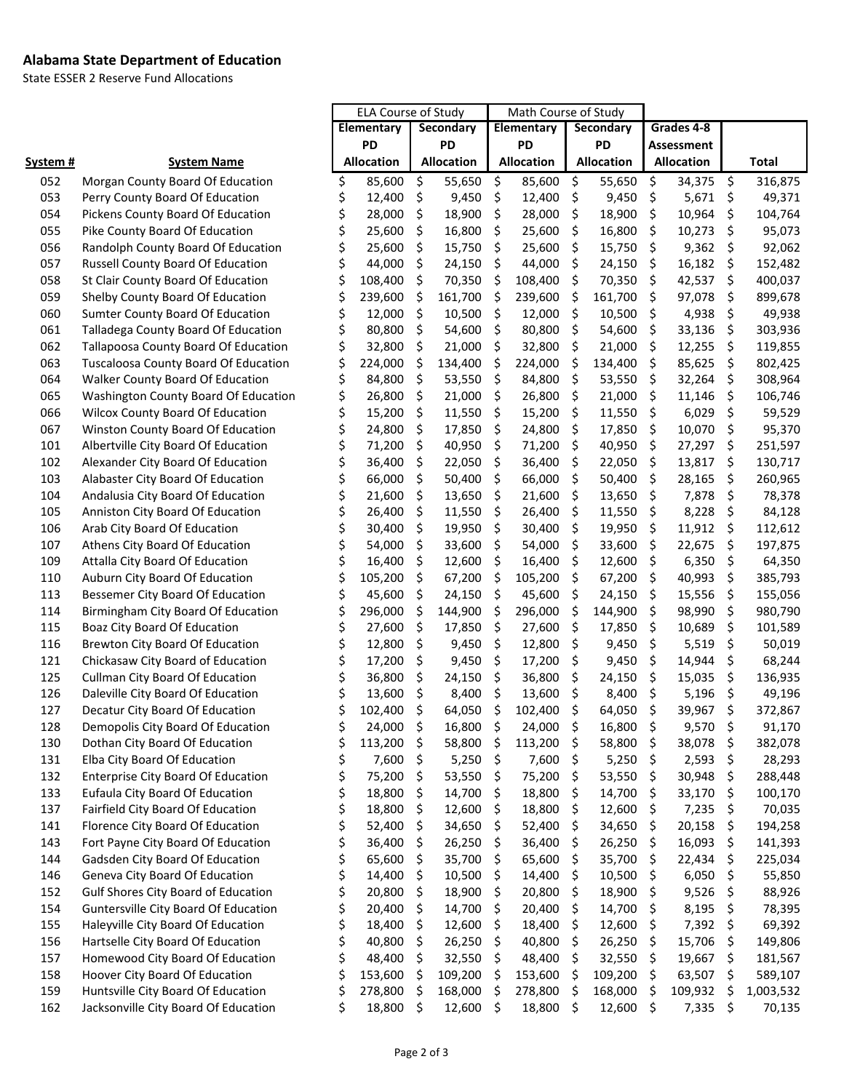#### **Alabama State Department of Education**

State ESSER 2 Reserve Fund Allocations

|                 |                                             | <b>ELA Course of Study</b> |            | Math Course of Study |                   |            |                   |                    |            |            |            |                     |           |
|-----------------|---------------------------------------------|----------------------------|------------|----------------------|-------------------|------------|-------------------|--------------------|------------|------------|------------|---------------------|-----------|
|                 |                                             | Elementary                 |            | Secondary            |                   | Elementary |                   | Secondary          |            | Grades 4-8 |            |                     |           |
|                 |                                             | PD                         |            | <b>PD</b>            |                   | PD         |                   | PD                 |            |            | Assessment |                     |           |
| <u>System #</u> | <b>System Name</b>                          |                            | Allocation |                      | <b>Allocation</b> |            | <b>Allocation</b> |                    | Allocation |            | Allocation |                     | Total     |
| 052             | Morgan County Board Of Education            | \$                         | 85,600     | \$                   | 55,650            | \$         | 85,600            | $\ddot{\varsigma}$ | 55,650     | \$         | 34,375     | - \$                | 316,875   |
| 053             | Perry County Board Of Education             | \$                         | 12,400     | \$                   | 9,450             | \$         | 12,400            | $\ddot{\varsigma}$ | 9,450      | \$         | 5,671      | \$                  | 49,371    |
| 054             | Pickens County Board Of Education           | \$                         | 28,000     | \$                   | 18,900            | \$         | 28,000            | $\ddot{\varsigma}$ | 18,900     | \$         | 10,964     | \$                  | 104,764   |
| 055             | Pike County Board Of Education              | \$                         | 25,600     | \$                   | 16,800            | \$         | 25,600            | \$                 | 16,800     | \$         | 10,273     | \$                  | 95,073    |
| 056             | Randolph County Board Of Education          | \$                         | 25,600     | \$                   | 15,750            | \$         | 25,600            | \$                 | 15,750     | \$         | 9,362      | \$                  | 92,062    |
| 057             | Russell County Board Of Education           | \$                         | 44,000     | $\zeta$              | 24,150            | \$         | 44,000            | \$                 | 24,150     | \$         | 16,182     | \$                  | 152,482   |
| 058             | St Clair County Board Of Education          | \$                         | 108,400    | \$                   | 70,350            | \$         | 108,400           | -\$                | 70,350     | \$         | 42,537     | \$                  | 400,037   |
| 059             | Shelby County Board Of Education            | \$                         | 239,600    | \$                   | 161,700           | \$         | 239,600           | -\$                | 161,700    | \$         | 97,078     | \$                  | 899,678   |
| 060             | Sumter County Board Of Education            | \$                         | 12,000     | \$                   | 10,500            | \$         | 12,000            | $\ddot{\varsigma}$ | 10,500     | \$         | 4,938      | \$                  | 49,938    |
| 061             | Talladega County Board Of Education         | \$                         | 80,800     | \$                   | 54,600            | \$         | 80,800            | $\ddot{\varsigma}$ | 54,600     | \$         | 33,136     | \$                  | 303,936   |
| 062             | Tallapoosa County Board Of Education        | \$                         | 32,800     | \$                   | 21,000            | \$         | 32,800            | \$                 | 21,000     | \$         | 12,255     | \$                  | 119,855   |
| 063             | <b>Tuscaloosa County Board Of Education</b> | \$                         | 224,000    | \$                   | 134,400           | \$         | 224,000           | $\ddot{\varsigma}$ | 134,400    | \$         | 85,625     | \$                  | 802,425   |
| 064             | Walker County Board Of Education            | \$                         | 84,800     | \$                   | 53,550            | \$         | 84,800            | $\ddot{\varsigma}$ | 53,550     | \$         | 32,264     | \$                  | 308,964   |
| 065             | Washington County Board Of Education        | \$                         | 26,800     | \$                   | 21,000            | \$         | 26,800            | -\$                | 21,000     | \$         | 11,146     | \$                  | 106,746   |
| 066             | <b>Wilcox County Board Of Education</b>     | \$                         | 15,200     | \$                   | 11,550            | \$         | 15,200            | -\$                | 11,550     | \$         | 6,029      | $\zeta$             | 59,529    |
| 067             | Winston County Board Of Education           | \$                         | 24,800     | \$                   | 17,850            | \$         | 24,800            | \$                 | 17,850     | \$         | 10,070     | \$                  | 95,370    |
| 101             | Albertville City Board Of Education         | \$                         | 71,200     | \$                   | 40,950            | \$         | 71,200            | \$                 | 40,950     | \$         | 27,297     | \$                  | 251,597   |
| 102             | Alexander City Board Of Education           | \$                         | 36,400     | \$                   | 22,050            | \$         | 36,400            | \$                 | 22,050     | \$         | 13,817     | \$                  | 130,717   |
| 103             | Alabaster City Board Of Education           | \$                         | 66,000     | \$                   | 50,400            | \$         | 66,000            | \$                 | 50,400     | \$         | 28,165     | \$                  | 260,965   |
| 104             | Andalusia City Board Of Education           | \$                         | 21,600     | \$                   | 13,650            | \$         | 21,600            | \$                 | 13,650     | \$         | 7,878      | \$                  | 78,378    |
| 105             | Anniston City Board Of Education            | \$                         | 26,400     | \$                   | 11,550            | \$         | 26,400            | \$                 | 11,550     | \$         | 8,228      | \$                  | 84,128    |
| 106             | Arab City Board Of Education                | \$                         | 30,400     | \$                   | 19,950            | \$         | 30,400            | \$                 | 19,950     | \$         | 11,912     | \$                  | 112,612   |
| 107             | Athens City Board Of Education              | \$                         | 54,000     | \$                   | 33,600            | \$         | 54,000            | \$                 | 33,600     | \$         | 22,675     | \$                  | 197,875   |
| 109             | Attalla City Board Of Education             | \$                         | 16,400     | \$                   | 12,600            | \$         | 16,400            | \$                 | 12,600     | \$         | 6,350      | \$                  | 64,350    |
| 110             | Auburn City Board Of Education              | \$                         | 105,200    | \$                   | 67,200            | \$         | 105,200           | \$                 | 67,200     | \$         | 40,993     | \$                  | 385,793   |
| 113             | Bessemer City Board Of Education            | \$                         | 45,600     | \$                   | 24,150            | \$         | 45,600            | \$                 | 24,150     | \$         | 15,556     | \$                  | 155,056   |
| 114             | Birmingham City Board Of Education          | \$                         | 296,000    | \$                   | 144,900           | \$         | 296,000           | \$                 | 144,900    | \$         | 98,990     | \$                  | 980,790   |
| 115             | Boaz City Board Of Education                | \$                         | 27,600     | \$                   | 17,850            | \$         | 27,600            | $\ddot{\varsigma}$ | 17,850     | \$         | 10,689     | \$                  | 101,589   |
| 116             | <b>Brewton City Board Of Education</b>      | \$                         | 12,800     | \$                   | 9,450             | \$         | 12,800            | \$                 | 9,450      | \$         | 5,519      | $\zeta$             | 50,019    |
| 121             | Chickasaw City Board of Education           | \$                         | 17,200     | \$                   | 9,450             | \$         | 17,200            | \$                 | 9,450      | \$         | 14,944     | \$                  | 68,244    |
| 125             | Cullman City Board Of Education             | \$                         | 36,800     | \$                   | 24,150            | \$         | 36,800            | \$                 | 24,150     | \$         | 15,035     | \$                  | 136,935   |
| 126             | Daleville City Board Of Education           | \$                         | 13,600     | \$                   | 8,400             | \$         | 13,600            | $\ddot{\varsigma}$ | 8,400      | $\zeta$    | 5,196      | $\ddot{\mathsf{S}}$ | 49,196    |
| 127             | Decatur City Board Of Education             | \$                         | 102,400    | $\ddot{\varsigma}$   | 64,050            | \$         | 102,400           | -\$                | 64,050 \$  |            | 39,967 \$  |                     | 372,867   |
| 128             | Demopolis City Board Of Education           | \$                         | 24,000 \$  |                      | 16,800 \$         |            | 24,000 \$         |                    | 16,800 \$  |            | $9,570$ \$ |                     | 91,170    |
| 130             | Dothan City Board Of Education              | \$                         | 113,200    | \$                   | 58,800            | \$         | 113,200           | -\$                | 58,800     | \$         | 38,078     | \$                  | 382,078   |
| 131             | Elba City Board Of Education                | \$                         | 7,600      | -\$                  | 5,250             | \$         | 7,600             | - \$               | 5,250      | \$         | 2,593      | \$                  | 28,293    |
| 132             | <b>Enterprise City Board Of Education</b>   | \$                         | 75,200     | \$                   | 53,550            | \$         | 75,200            | -\$                | 53,550     | \$         | 30,948     | \$                  | 288,448   |
| 133             | Eufaula City Board Of Education             | \$                         | 18,800     | \$                   | 14,700            | \$         | 18,800            | -\$                | 14,700     | \$         | 33,170     | \$                  | 100,170   |
| 137             | Fairfield City Board Of Education           | \$                         | 18,800     | \$                   | 12,600            | \$         | 18,800            | -\$                | 12,600     | \$         | 7,235      | \$                  | 70,035    |
| 141             | Florence City Board Of Education            | \$                         | 52,400     | $\zeta$              | 34,650            | \$         | 52,400            | -\$                | 34,650     | \$         | 20,158     | \$                  | 194,258   |
| 143             | Fort Payne City Board Of Education          | \$                         | 36,400     | \$                   | 26,250            | \$         | 36,400            | -\$                | 26,250     | \$         | 16,093     | \$                  | 141,393   |
| 144             | Gadsden City Board Of Education             | \$                         | 65,600     | $\zeta$              | 35,700            | \$         | 65,600            | -\$                | 35,700     | \$         | 22,434     | \$                  | 225,034   |
| 146             | Geneva City Board Of Education              | \$                         | 14,400     | \$                   | 10,500            | \$         | 14,400            | -\$                | 10,500     | \$         | 6,050      | $\ddot{\varsigma}$  | 55,850    |
| 152             | <b>Gulf Shores City Board of Education</b>  | \$                         | 20,800     | $\zeta$              | 18,900            | \$         | 20,800            | -\$                | 18,900     | \$         | 9,526      | \$                  | 88,926    |
| 154             | Guntersville City Board Of Education        | \$                         | 20,400     | \$                   | 14,700            | \$         | 20,400            | -\$                | 14,700     | \$         | 8,195      | \$                  | 78,395    |
| 155             | Haleyville City Board Of Education          | \$                         | 18,400     | $\ddot{\varsigma}$   | 12,600            | \$         | 18,400            | -\$                | 12,600     | \$         | $7,392$ \$ |                     | 69,392    |
| 156             | Hartselle City Board Of Education           | \$                         | 40,800     | $\zeta$              | 26,250            | \$         | 40,800            | -\$                | 26,250     | \$         | 15,706     | \$                  | 149,806   |
| 157             | Homewood City Board Of Education            | \$                         | 48,400     | $\zeta$              | 32,550            | \$         | 48,400            | -\$                | 32,550     | \$         | 19,667     | \$                  | 181,567   |
| 158             | Hoover City Board Of Education              | \$                         | 153,600    | -\$                  | 109,200           | \$         | 153,600           | -\$                | 109,200    | \$         | 63,507     | \$                  | 589,107   |
| 159             | Huntsville City Board Of Education          | \$                         | 278,800    | - \$                 | 168,000           | \$         | 278,800           | -\$                | 168,000    | \$         | 109,932    | \$                  | 1,003,532 |
| 162             | Jacksonville City Board Of Education        | \$                         | 18,800 \$  |                      | 12,600            | \$         | 18,800 \$         |                    | 12,600     | \$         | 7,335      | \$                  | 70,135    |
|                 |                                             |                            |            |                      |                   |            |                   |                    |            |            |            |                     |           |